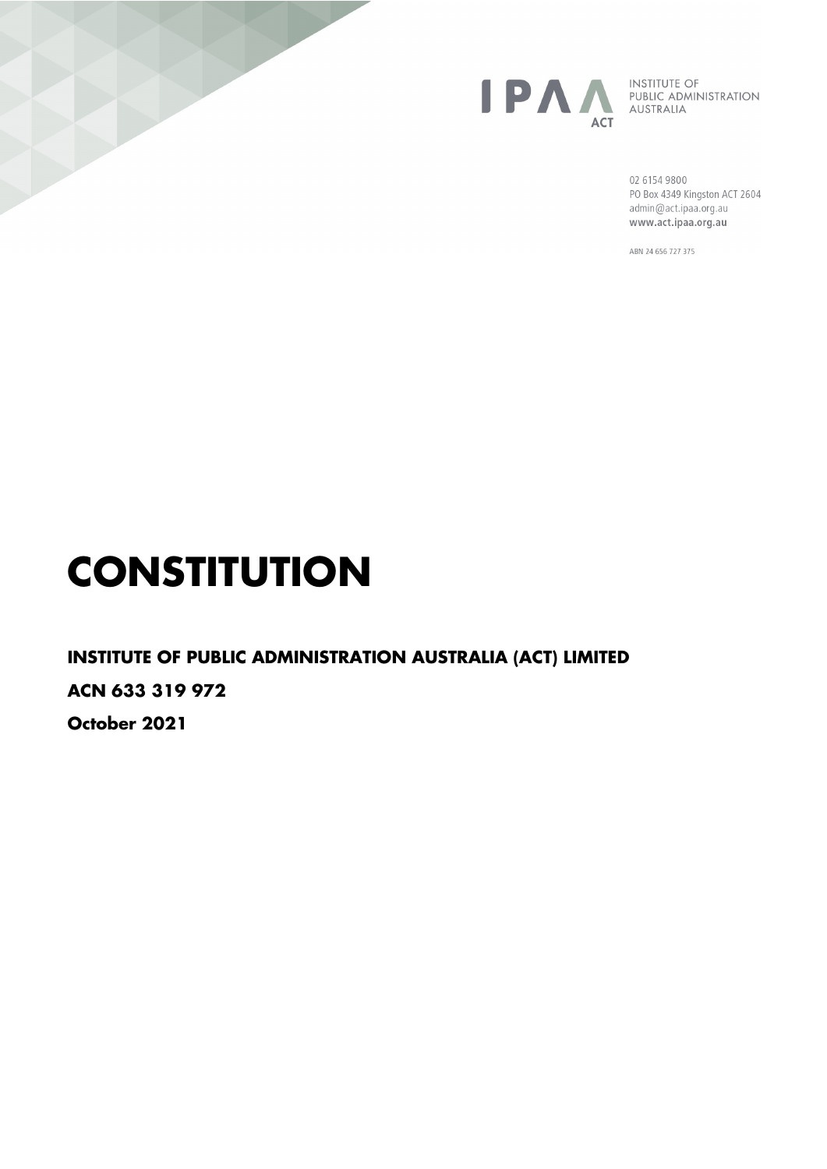

**INSTITUTE OF** PUBLIC ADMINISTRATION AUSTRALIA

02 6154 9800 PO Box 4349 Kingston ACT 2604 admin@act.ipaa.org.au www.act.ipaa.org.au

ABN 24 656 727 375

# **CONSTITUTION**

**INSTITUTE OF PUBLIC ADMINISTRATION AUSTRALIA (ACT) LIMITED ACN 633 319 972 October 2021**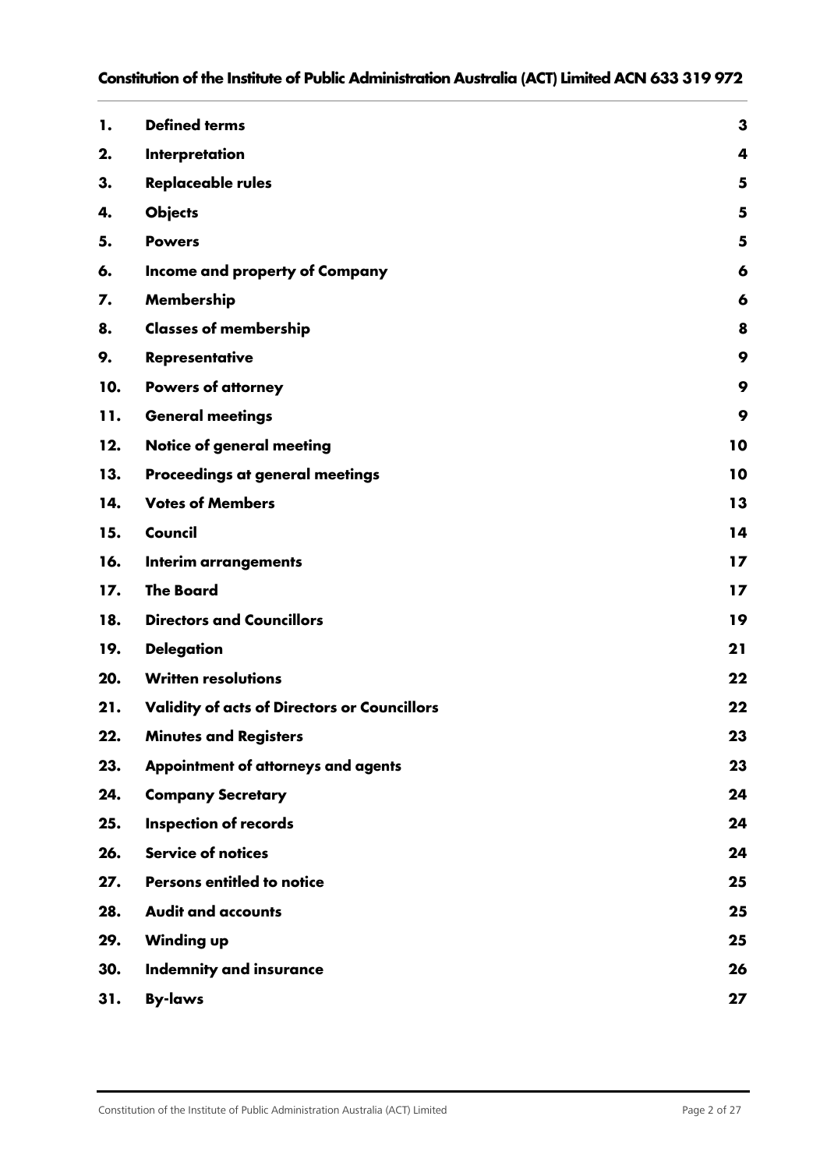| 1.  | <b>Defined terms</b>                                | 3  |
|-----|-----------------------------------------------------|----|
| 2.  | Interpretation                                      | 4  |
| 3.  | <b>Replaceable rules</b>                            | 5  |
| 4.  | <b>Objects</b>                                      | 5  |
| 5.  | <b>Powers</b>                                       | 5  |
| 6.  | Income and property of Company                      | 6  |
| 7.  | Membership                                          | 6  |
| 8.  | <b>Classes of membership</b>                        | 8  |
| 9.  | <b>Representative</b>                               | 9  |
| 10. | <b>Powers of attorney</b>                           | 9  |
| 11. | <b>General meetings</b>                             | 9  |
| 12. | Notice of general meeting                           | 10 |
| 13. | Proceedings at general meetings                     | 10 |
| 14. | <b>Votes of Members</b>                             | 13 |
| 15. | Council                                             | 14 |
| 16. | <b>Interim arrangements</b>                         | 17 |
| 17. | <b>The Board</b>                                    | 17 |
| 18. | <b>Directors and Councillors</b>                    | 19 |
| 19. | <b>Delegation</b>                                   | 21 |
| 20. | <b>Written resolutions</b>                          | 22 |
| 21. | <b>Validity of acts of Directors or Councillors</b> | 22 |
| 22. | <b>Minutes and Registers</b>                        | 23 |
| 23. | Appointment of attorneys and agents                 | 23 |
| 24. | <b>Company Secretary</b>                            | 24 |
| 25. | <b>Inspection of records</b>                        | 24 |
| 26. | <b>Service of notices</b>                           | 24 |
| 27. | <b>Persons entitled to notice</b>                   | 25 |
| 28. | <b>Audit and accounts</b>                           | 25 |
| 29. | <b>Winding up</b>                                   | 25 |
| 30. | <b>Indemnity and insurance</b>                      | 26 |
| 31. | <b>By-laws</b>                                      | 27 |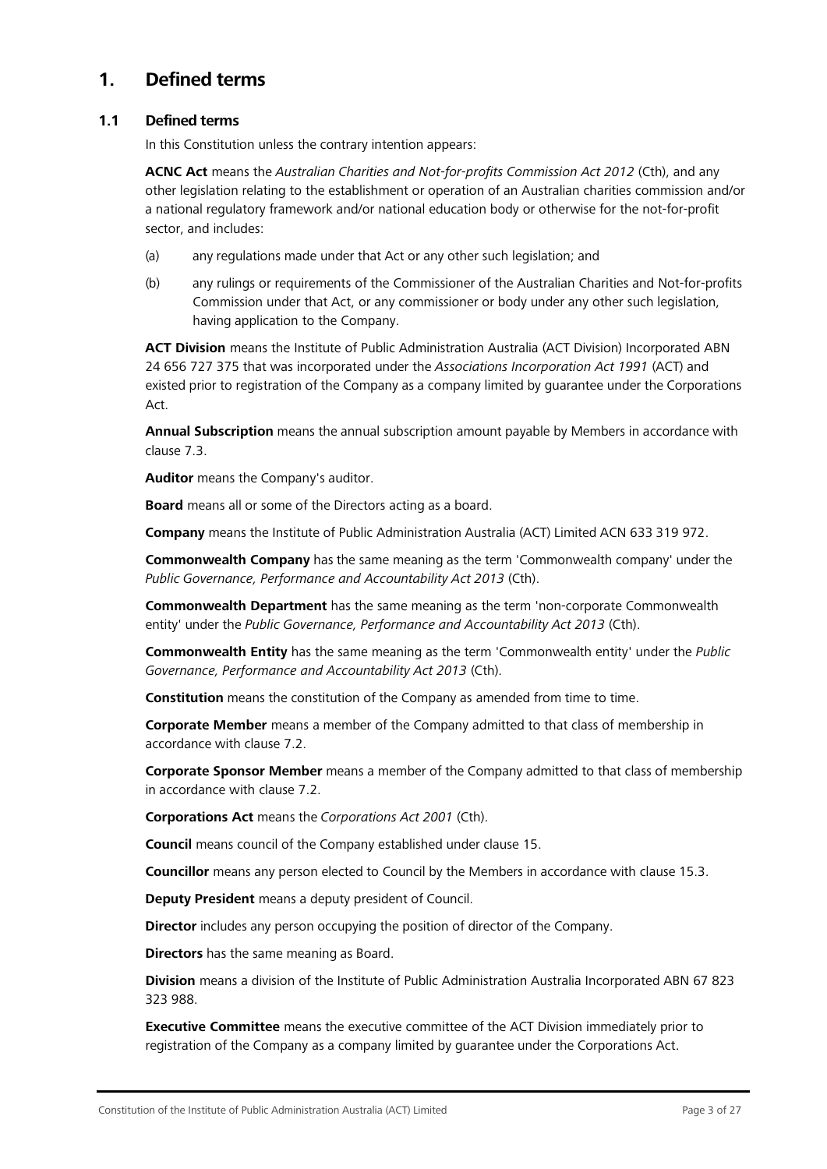# <span id="page-2-0"></span>**1. Defined terms**

## **1.1 Defined terms**

In this Constitution unless the contrary intention appears:

**ACNC Act** means the *Australian Charities and Not-for-profits Commission Act 2012* (Cth), and any other legislation relating to the establishment or operation of an Australian charities commission and/or a national regulatory framework and/or national education body or otherwise for the not-for-profit sector, and includes:

- (a) any regulations made under that Act or any other such legislation; and
- (b) any rulings or requirements of the Commissioner of the Australian Charities and Not-for-profits Commission under that Act, or any commissioner or body under any other such legislation, having application to the Company.

**ACT Division** means the Institute of Public Administration Australia (ACT Division) Incorporated ABN 24 656 727 375 that was incorporated under the *Associations Incorporation Act 1991* (ACT) and existed prior to registration of the Company as a company limited by guarantee under the Corporations Act.

**Annual Subscription** means the annual subscription amount payable by Members in accordance with clause [7.3.](#page-6-0)

**Auditor** means the Company's auditor.

**Board** means all or some of the Directors acting as a board.

**Company** means the Institute of Public Administration Australia (ACT) Limited ACN 633 319 972.

**Commonwealth Company** has the same meaning as the term 'Commonwealth company' under the *Public Governance, Performance and Accountability Act 2013* (Cth).

**Commonwealth Department** has the same meaning as the term 'non-corporate Commonwealth entity' under the *Public Governance, Performance and Accountability Act 2013* (Cth).

**Commonwealth Entity** has the same meaning as the term 'Commonwealth entity' under the *Public Governance, Performance and Accountability Act 2013* (Cth).

**Constitution** means the constitution of the Company as amended from time to time.

**Corporate Member** means a member of the Company admitted to that class of membership in accordance with clause [7.2.](#page-5-2)

**Corporate Sponsor Member** means a member of the Company admitted to that class of membership in accordance with clause [7.2.](#page-5-2)

**Corporations Act** means the *Corporations Act 2001* (Cth).

**Council** means council of the Company established under clause [15.](#page-13-0)

**Councillor** means any person elected to Council by the Members in accordance with clause [15.3.](#page-14-0)

**Deputy President** means a deputy president of Council.

**Director** includes any person occupying the position of director of the Company.

**Directors** has the same meaning as Board.

**Division** means a division of the Institute of Public Administration Australia Incorporated ABN 67 823 323 988.

**Executive Committee** means the executive committee of the ACT Division immediately prior to registration of the Company as a company limited by guarantee under the Corporations Act.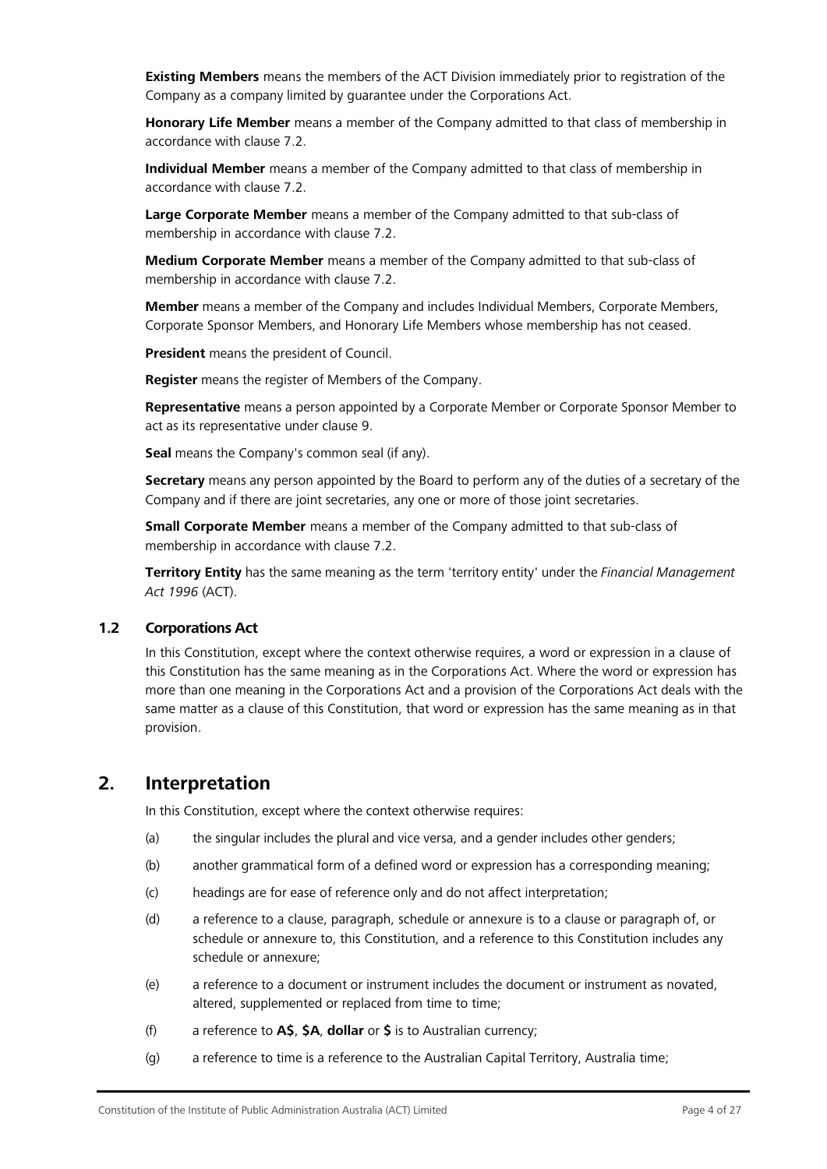**Existing Members** means the members of the ACT Division immediately prior to registration of the Company as a company limited by guarantee under the Corporations Act.

**Honorary Life Member** means a member of the Company admitted to that class of membership in accordance with clause [7.2.](#page-5-2)

**Individual Member** means a member of the Company admitted to that class of membership in accordance with clause [7.2.](#page-5-2)

**Large Corporate Member** means a member of the Company admitted to that sub-class of membership in accordance with clause [7.2.](#page-5-2)

**Medium Corporate Member** means a member of the Company admitted to that sub-class of membership in accordance with clause [7.2.](#page-5-2)

**Member** means a member of the Company and includes Individual Members, Corporate Members, Corporate Sponsor Members, and Honorary Life Members whose membership has not ceased.

**President** means the president of Council.

**Register** means the register of Members of the Company.

**Representative** means a person appointed by a Corporate Member or Corporate Sponsor Member to act as its representative under clause [9.](#page-8-0)

**Seal** means the Company's common seal (if any).

**Secretary** means any person appointed by the Board to perform any of the duties of a secretary of the Company and if there are joint secretaries, any one or more of those joint secretaries.

**Small Corporate Member** means a member of the Company admitted to that sub-class of membership in accordance with clause [7.2.](#page-5-2)

**Territory Entity** has the same meaning as the term 'territory entity' under the *Financial Management Act 1996* (ACT).

#### **1.2 Corporations Act**

In this Constitution, except where the context otherwise requires, a word or expression in a clause of this Constitution has the same meaning as in the Corporations Act. Where the word or expression has more than one meaning in the Corporations Act and a provision of the Corporations Act deals with the same matter as a clause of this Constitution, that word or expression has the same meaning as in that provision.

## <span id="page-3-0"></span>**2. Interpretation**

In this Constitution, except where the context otherwise requires:

- (a) the singular includes the plural and vice versa, and a gender includes other genders;
- (b) another grammatical form of a defined word or expression has a corresponding meaning;
- (c) headings are for ease of reference only and do not affect interpretation;
- (d) a reference to a clause, paragraph, schedule or annexure is to a clause or paragraph of, or schedule or annexure to, this Constitution, and a reference to this Constitution includes any schedule or annexure;
- (e) a reference to a document or instrument includes the document or instrument as novated, altered, supplemented or replaced from time to time;
- (f) a reference to **A\$**, **\$A**, **dollar** or **\$** is to Australian currency;
- (g) a reference to time is a reference to the Australian Capital Territory, Australia time;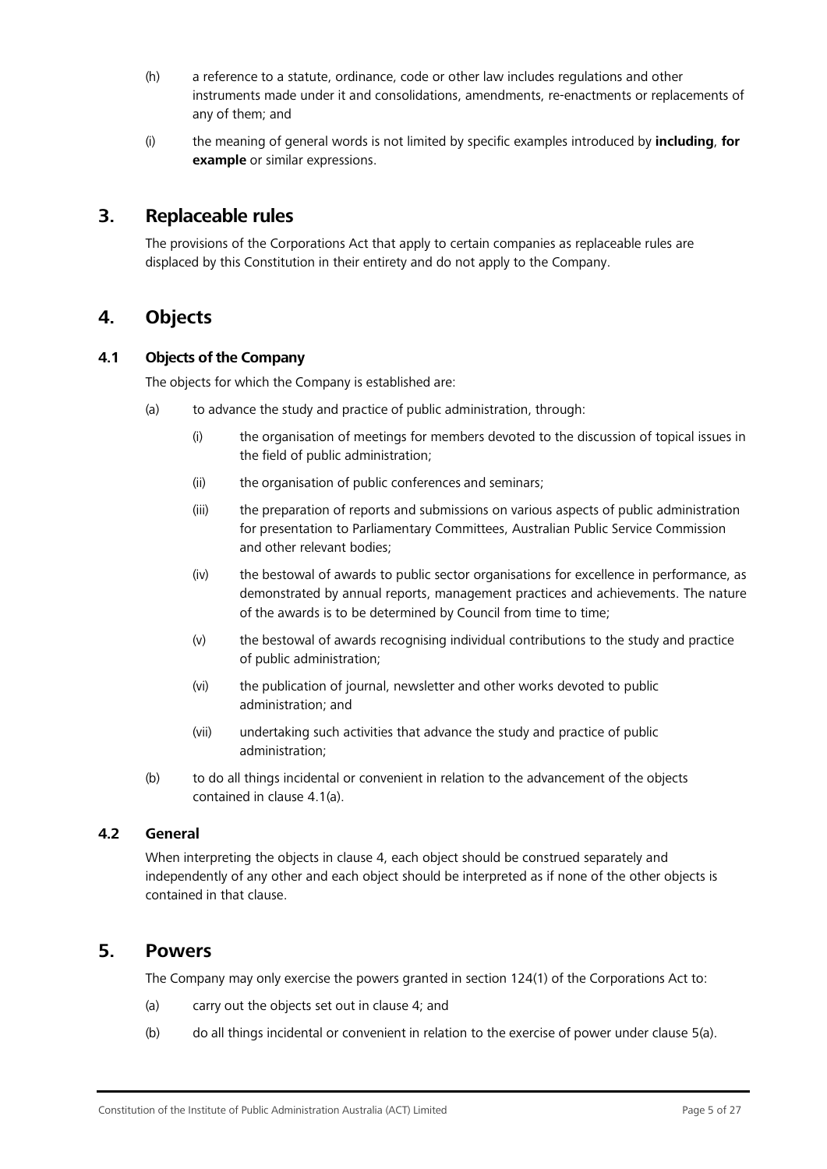- (h) a reference to a statute, ordinance, code or other law includes regulations and other instruments made under it and consolidations, amendments, re-enactments or replacements of any of them; and
- (i) the meaning of general words is not limited by specific examples introduced by **including**, **for example** or similar expressions.

## <span id="page-4-0"></span>**3. Replaceable rules**

The provisions of the Corporations Act that apply to certain companies as replaceable rules are displaced by this Constitution in their entirety and do not apply to the Company.

## <span id="page-4-1"></span>**4. Objects**

## <span id="page-4-3"></span>**4.1 Objects of the Company**

The objects for which the Company is established are:

- (a) to advance the study and practice of public administration, through:
	- (i) the organisation of meetings for members devoted to the discussion of topical issues in the field of public administration;
	- (ii) the organisation of public conferences and seminars;
	- (iii) the preparation of reports and submissions on various aspects of public administration for presentation to Parliamentary Committees, Australian Public Service Commission and other relevant bodies;
	- (iv) the bestowal of awards to public sector organisations for excellence in performance, as demonstrated by annual reports, management practices and achievements. The nature of the awards is to be determined by Council from time to time;
	- (v) the bestowal of awards recognising individual contributions to the study and practice of public administration;
	- (vi) the publication of journal, newsletter and other works devoted to public administration; and
	- (vii) undertaking such activities that advance the study and practice of public administration;
- (b) to do all things incidental or convenient in relation to the advancement of the objects contained in clause [4.1\(a\).](#page-4-3)

## **4.2 General**

When interpreting the objects in clause [4, e](#page-4-1)ach object should be construed separately and independently of any other and each object should be interpreted as if none of the other objects is contained in that clause.

## <span id="page-4-4"></span><span id="page-4-2"></span>**5. Powers**

The Company may only exercise the powers granted in section 124(1) of the Corporations Act to:

- (a) carry out the objects set out in clause [4;](#page-4-1) and
- (b) do all things incidental or convenient in relation to the exercise of power under clause [5](#page-4-2)[\(a\).](#page-4-4)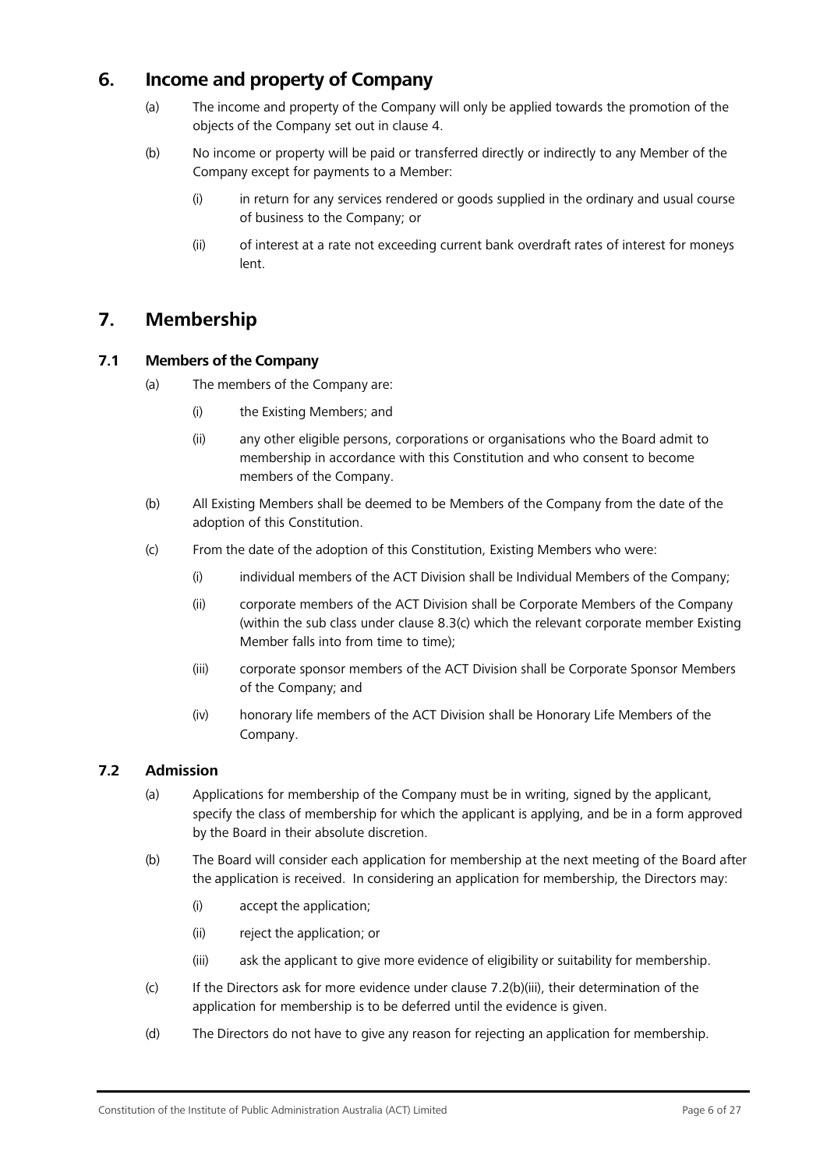# <span id="page-5-0"></span>**6. Income and property of Company**

- (a) The income and property of the Company will only be applied towards the promotion of the objects of the Company set out in clause [4.](#page-4-1)
- (b) No income or property will be paid or transferred directly or indirectly to any Member of the Company except for payments to a Member:
	- (i) in return for any services rendered or goods supplied in the ordinary and usual course of business to the Company; or
	- (ii) of interest at a rate not exceeding current bank overdraft rates of interest for moneys lent.

# <span id="page-5-1"></span>**7. Membership**

## **7.1 Members of the Company**

- (a) The members of the Company are:
	- (i) the Existing Members; and
	- (ii) any other eligible persons, corporations or organisations who the Board admit to membership in accordance with this Constitution and who consent to become members of the Company.
- (b) All Existing Members shall be deemed to be Members of the Company from the date of the adoption of this Constitution.
- (c) From the date of the adoption of this Constitution, Existing Members who were:
	- (i) individual members of the ACT Division shall be Individual Members of the Company;
	- (ii) corporate members of the ACT Division shall be Corporate Members of the Company (within the sub class under clause [8.3\(c\) w](#page-7-1)hich the relevant corporate member Existing Member falls into from time to time);
	- (iii) corporate sponsor members of the ACT Division shall be Corporate Sponsor Members of the Company; and
	- (iv) honorary life members of the ACT Division shall be Honorary Life Members of the Company.

## <span id="page-5-2"></span>**7.2 Admission**

- (a) Applications for membership of the Company must be in writing, signed by the applicant, specify the class of membership for which the applicant is applying, and be in a form approved by the Board in their absolute discretion.
- (b) The Board will consider each application for membership at the next meeting of the Board after the application is received. In considering an application for membership, the Directors may:
	- (i) accept the application;
	- (ii) reject the application; or
	- (iii) ask the applicant to give more evidence of eligibility or suitability for membership.
- <span id="page-5-3"></span>(c) If the Directors ask for more evidence under clause [7.2\(b\)\(iii\), t](#page-5-3)heir determination of the application for membership is to be deferred until the evidence is given.
- (d) The Directors do not have to give any reason for rejecting an application for membership.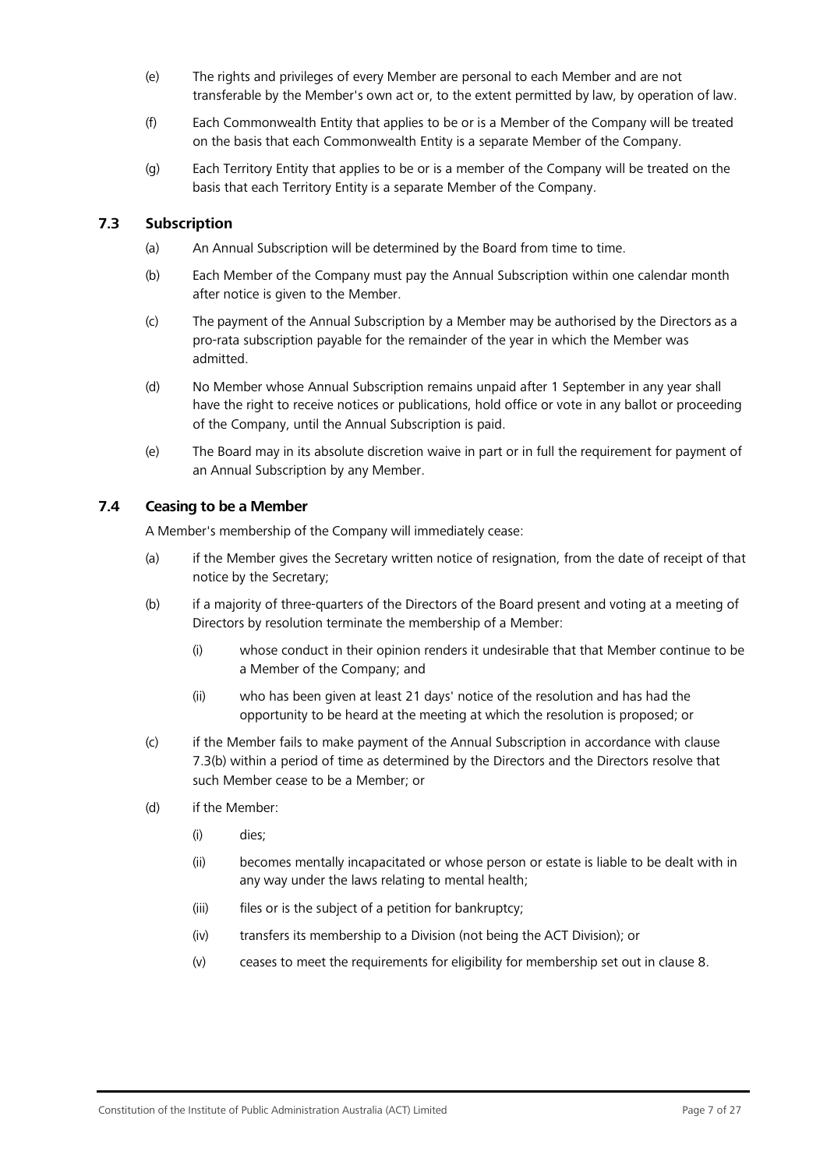- (e) The rights and privileges of every Member are personal to each Member and are not transferable by the Member's own act or, to the extent permitted by law, by operation of law.
- (f) Each Commonwealth Entity that applies to be or is a Member of the Company will be treated on the basis that each Commonwealth Entity is a separate Member of the Company.
- (g) Each Territory Entity that applies to be or is a member of the Company will be treated on the basis that each Territory Entity is a separate Member of the Company.

## <span id="page-6-1"></span><span id="page-6-0"></span>**7.3 Subscription**

- (a) An Annual Subscription will be determined by the Board from time to time.
- (b) Each Member of the Company must pay the Annual Subscription within one calendar month after notice is given to the Member.
- (c) The payment of the Annual Subscription by a Member may be authorised by the Directors as a pro-rata subscription payable for the remainder of the year in which the Member was admitted.
- (d) No Member whose Annual Subscription remains unpaid after 1 September in any year shall have the right to receive notices or publications, hold office or vote in any ballot or proceeding of the Company, until the Annual Subscription is paid.
- (e) The Board may in its absolute discretion waive in part or in full the requirement for payment of an Annual Subscription by any Member.

## <span id="page-6-2"></span>**7.4 Ceasing to be a Member**

A Member's membership of the Company will immediately cease:

- (a) if the Member gives the Secretary written notice of resignation, from the date of receipt of that notice by the Secretary;
- (b) if a majority of three-quarters of the Directors of the Board present and voting at a meeting of Directors by resolution terminate the membership of a Member:
	- (i) whose conduct in their opinion renders it undesirable that that Member continue to be a Member of the Company; and
	- (ii) who has been given at least 21 days' notice of the resolution and has had the opportunity to be heard at the meeting at which the resolution is proposed; or
- (c) if the Member fails to make payment of the Annual Subscription in accordance with clause [7.3\(b\) w](#page-6-1)ithin a period of time as determined by the Directors and the Directors resolve that such Member cease to be a Member; or
- (d) if the Member:
	- (i) dies;
	- (ii) becomes mentally incapacitated or whose person or estate is liable to be dealt with in any way under the laws relating to mental health;
	- (iii) files or is the subject of a petition for bankruptcy;
	- (iv) transfers its membership to a Division (not being the ACT Division); or
	- (v) ceases to meet the requirements for eligibility for membership set out in clause [8.](#page-7-0)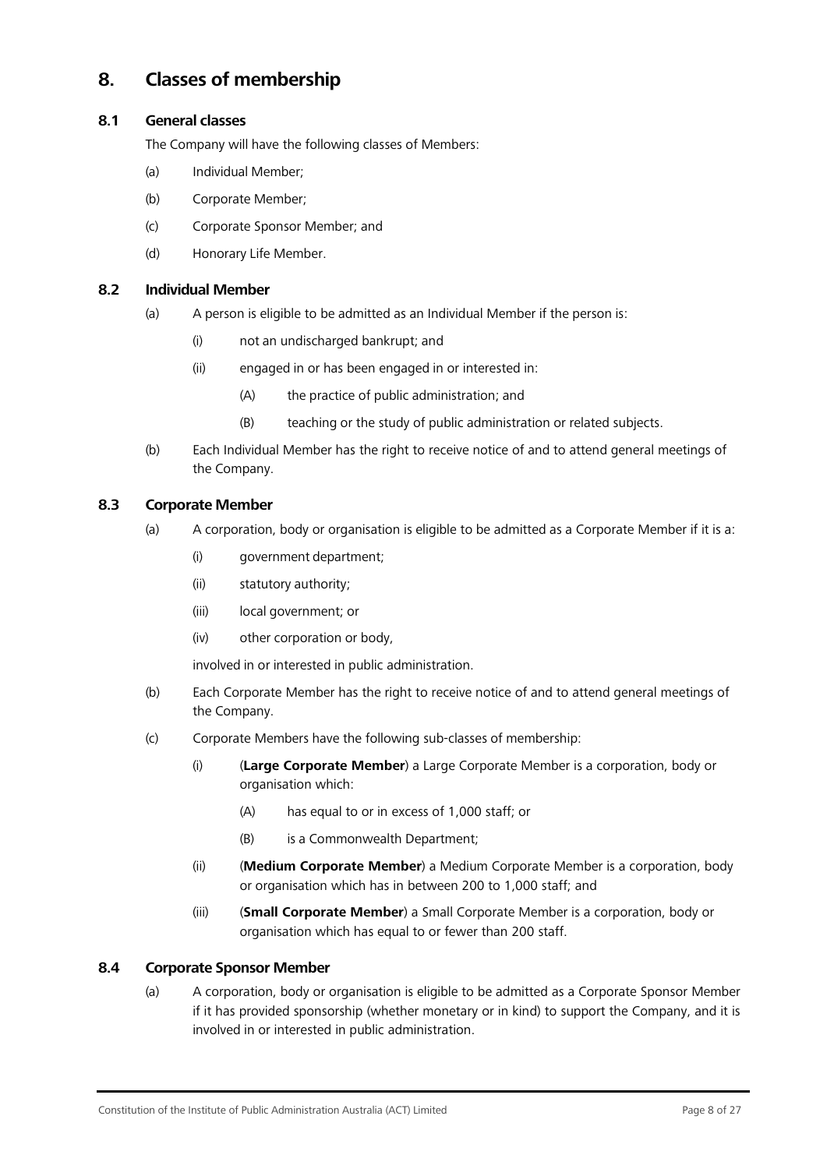# <span id="page-7-0"></span>**8. Classes of membership**

## **8.1 General classes**

The Company will have the following classes of Members:

- (a) Individual Member;
- (b) Corporate Member;
- (c) Corporate Sponsor Member; and
- (d) Honorary Life Member.

#### **8.2 Individual Member**

- (a) A person is eligible to be admitted as an Individual Member if the person is:
	- (i) not an undischarged bankrupt; and
	- (ii) engaged in or has been engaged in or interested in:
		- (A) the practice of public administration; and
		- (B) teaching or the study of public administration or related subjects.
- (b) Each Individual Member has the right to receive notice of and to attend general meetings of the Company.

## **8.3 Corporate Member**

- (a) A corporation, body or organisation is eligible to be admitted as a Corporate Member if it is a:
	- (i) government department;
	- (ii) statutory authority;
	- (iii) local government; or
	- (iv) other corporation or body,

involved in or interested in public administration.

- (b) Each Corporate Member has the right to receive notice of and to attend general meetings of the Company.
- <span id="page-7-1"></span>(c) Corporate Members have the following sub-classes of membership:
	- (i) (**Large Corporate Member**) a Large Corporate Member is a corporation, body or organisation which:
		- (A) has equal to or in excess of 1,000 staff; or
		- (B) is a Commonwealth Department;
	- (ii) (**Medium Corporate Member**) a Medium Corporate Member is a corporation, body or organisation which has in between 200 to 1,000 staff; and
	- (iii) (**Small Corporate Member**) a Small Corporate Member is a corporation, body or organisation which has equal to or fewer than 200 staff.

## **8.4 Corporate Sponsor Member**

(a) A corporation, body or organisation is eligible to be admitted as a Corporate Sponsor Member if it has provided sponsorship (whether monetary or in kind) to support the Company, and it is involved in or interested in public administration.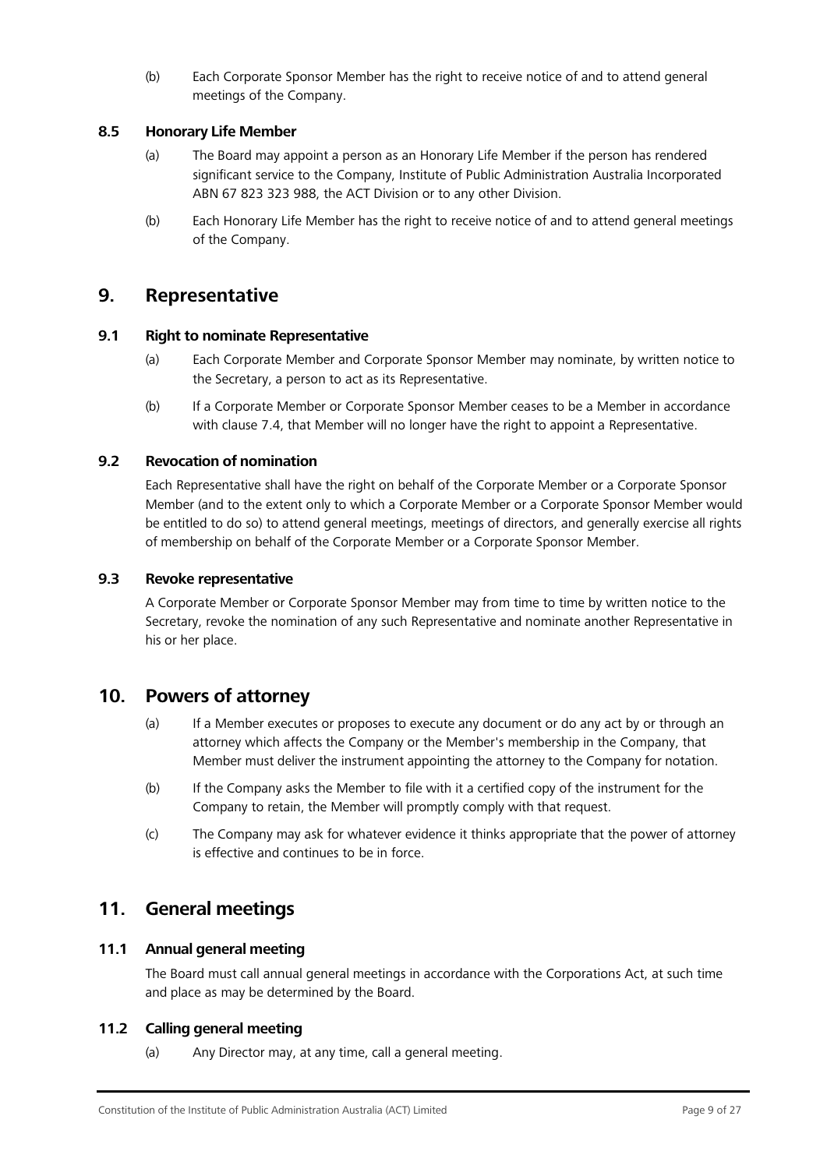(b) Each Corporate Sponsor Member has the right to receive notice of and to attend general meetings of the Company.

## **8.5 Honorary Life Member**

- (a) The Board may appoint a person as an Honorary Life Member if the person has rendered significant service to the Company, Institute of Public Administration Australia Incorporated ABN 67 823 323 988, the ACT Division or to any other Division.
- (b) Each Honorary Life Member has the right to receive notice of and to attend general meetings of the Company.

## <span id="page-8-0"></span>**9. Representative**

## **9.1 Right to nominate Representative**

- (a) Each Corporate Member and Corporate Sponsor Member may nominate, by written notice to the Secretary, a person to act as its Representative.
- (b) If a Corporate Member or Corporate Sponsor Member ceases to be a Member in accordance with clause [7.4,](#page-6-2) that Member will no longer have the right to appoint a Representative.

## **9.2 Revocation of nomination**

Each Representative shall have the right on behalf of the Corporate Member or a Corporate Sponsor Member (and to the extent only to which a Corporate Member or a Corporate Sponsor Member would be entitled to do so) to attend general meetings, meetings of directors, and generally exercise all rights of membership on behalf of the Corporate Member or a Corporate Sponsor Member.

## **9.3 Revoke representative**

A Corporate Member or Corporate Sponsor Member may from time to time by written notice to the Secretary, revoke the nomination of any such Representative and nominate another Representative in his or her place.

## <span id="page-8-1"></span>**10. Powers of attorney**

- (a) If a Member executes or proposes to execute any document or do any act by or through an attorney which affects the Company or the Member's membership in the Company, that Member must deliver the instrument appointing the attorney to the Company for notation.
- (b) If the Company asks the Member to file with it a certified copy of the instrument for the Company to retain, the Member will promptly comply with that request.
- (c) The Company may ask for whatever evidence it thinks appropriate that the power of attorney is effective and continues to be in force.

# <span id="page-8-2"></span>**11. General meetings**

## **11.1 Annual general meeting**

The Board must call annual general meetings in accordance with the Corporations Act, at such time and place as may be determined by the Board.

## **11.2 Calling general meeting**

(a) Any Director may, at any time, call a general meeting.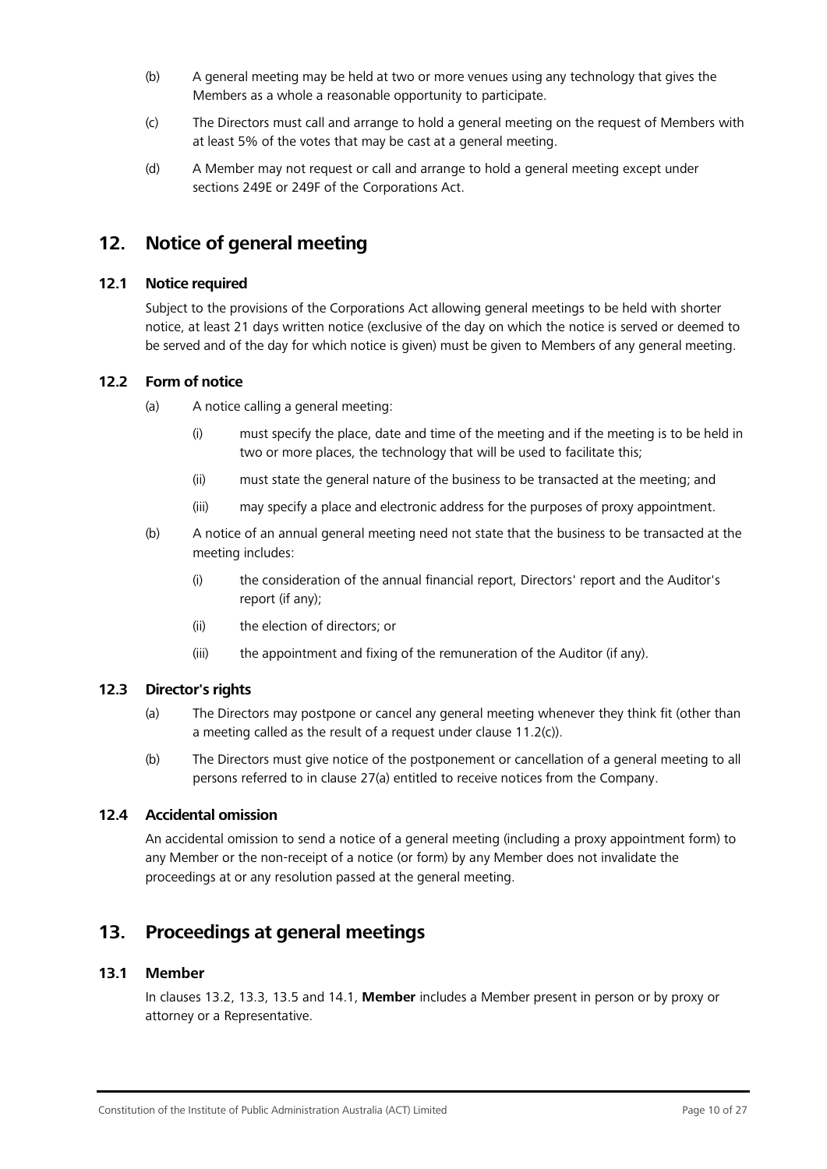- (b) A general meeting may be held at two or more venues using any technology that gives the Members as a whole a reasonable opportunity to participate.
- <span id="page-9-2"></span>(c) The Directors must call and arrange to hold a general meeting on the request of Members with at least 5% of the votes that may be cast at a general meeting.
- (d) A Member may not request or call and arrange to hold a general meeting except under sections 249E or 249F of the Corporations Act.

# <span id="page-9-0"></span>**12. Notice of general meeting**

## <span id="page-9-3"></span>**12.1 Notice required**

Subject to the provisions of the Corporations Act allowing general meetings to be held with shorter notice, at least 21 days written notice (exclusive of the day on which the notice is served or deemed to be served and of the day for which notice is given) must be given to Members of any general meeting.

## **12.2 Form of notice**

- (a) A notice calling a general meeting:
	- (i) must specify the place, date and time of the meeting and if the meeting is to be held in two or more places, the technology that will be used to facilitate this;
	- (ii) must state the general nature of the business to be transacted at the meeting; and
	- (iii) may specify a place and electronic address for the purposes of proxy appointment.
- (b) A notice of an annual general meeting need not state that the business to be transacted at the meeting includes:
	- (i) the consideration of the annual financial report, Directors' report and the Auditor's report (if any);
	- (ii) the election of directors; or
	- (iii) the appointment and fixing of the remuneration of the Auditor (if any).

## **12.3 Director's rights**

- (a) The Directors may postpone or cancel any general meeting whenever they think fit (other than a meeting called as the result of a request under clause [11.2\(c\)\)](#page-9-2).
- (b) The Directors must give notice of the postponement or cancellation of a general meeting to all persons referred to in clause [27\(a\)](#page-24-3) entitled to receive notices from the Company.

## **12.4 Accidental omission**

An accidental omission to send a notice of a general meeting (including a proxy appointment form) to any Member or the non-receipt of a notice (or form) by any Member does not invalidate the proceedings at or any resolution passed at the general meeting.

# <span id="page-9-1"></span>**13. Proceedings at general meetings**

## **13.1 Member**

In clauses [13.2,](#page-10-0) [13.3,](#page-10-1) [13.5 a](#page-11-0)nd [14.1,](#page-12-1) **Member** includes a Member present in person or by proxy or attorney or a Representative.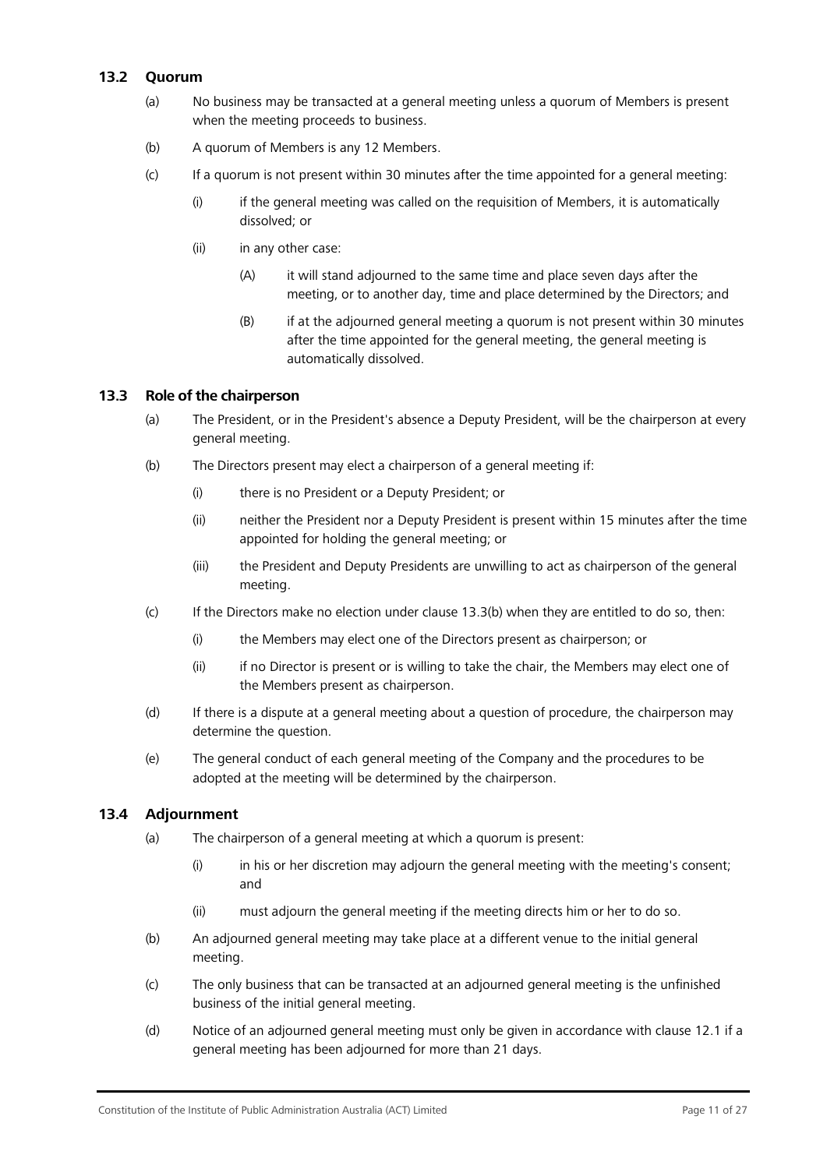## <span id="page-10-0"></span>**13.2 Quorum**

- (a) No business may be transacted at a general meeting unless a quorum of Members is present when the meeting proceeds to business.
- (b) A quorum of Members is any 12 Members.
- (c) If a quorum is not present within 30 minutes after the time appointed for a general meeting:
	- (i) if the general meeting was called on the requisition of Members, it is automatically dissolved; or
	- (ii) in any other case:
		- (A) it will stand adjourned to the same time and place seven days after the meeting, or to another day, time and place determined by the Directors; and
		- (B) if at the adjourned general meeting a quorum is not present within 30 minutes after the time appointed for the general meeting, the general meeting is automatically dissolved.

## <span id="page-10-2"></span><span id="page-10-1"></span>**13.3 Role of the chairperson**

- (a) The President, or in the President's absence a Deputy President, will be the chairperson at every general meeting.
- (b) The Directors present may elect a chairperson of a general meeting if:
	- (i) there is no President or a Deputy President; or
	- (ii) neither the President nor a Deputy President is present within 15 minutes after the time appointed for holding the general meeting; or
	- (iii) the President and Deputy Presidents are unwilling to act as chairperson of the general meeting.
- (c) If the Directors make no election under clause [13.3\(b\)](#page-10-2) when they are entitled to do so, then:
	- (i) the Members may elect one of the Directors present as chairperson; or
	- (ii) if no Director is present or is willing to take the chair, the Members may elect one of the Members present as chairperson.
- (d) If there is a dispute at a general meeting about a question of procedure, the chairperson may determine the question.
- (e) The general conduct of each general meeting of the Company and the procedures to be adopted at the meeting will be determined by the chairperson.

## **13.4 Adjournment**

- (a) The chairperson of a general meeting at which a quorum is present:
	- (i) in his or her discretion may adjourn the general meeting with the meeting's consent; and
	- (ii) must adjourn the general meeting if the meeting directs him or her to do so.
- (b) An adjourned general meeting may take place at a different venue to the initial general meeting.
- (c) The only business that can be transacted at an adjourned general meeting is the unfinished business of the initial general meeting.
- (d) Notice of an adjourned general meeting must only be given in accordance with clause [12.1 if](#page-9-3) a general meeting has been adjourned for more than 21 days.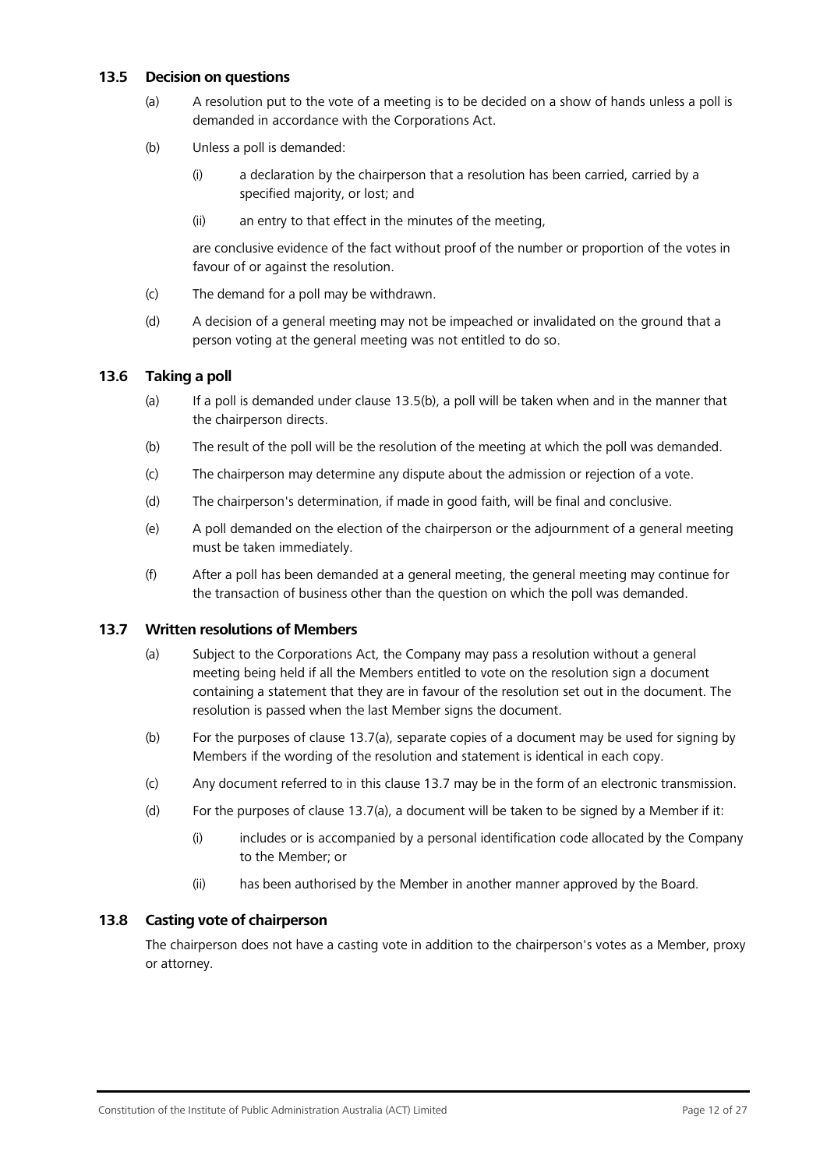## <span id="page-11-1"></span><span id="page-11-0"></span>**13.5 Decision on questions**

- (a) A resolution put to the vote of a meeting is to be decided on a show of hands unless a poll is demanded in accordance with the Corporations Act.
- (b) Unless a poll is demanded:
	- (i) a declaration by the chairperson that a resolution has been carried, carried by a specified majority, or lost; and
	- (ii) an entry to that effect in the minutes of the meeting,

are conclusive evidence of the fact without proof of the number or proportion of the votes in favour of or against the resolution.

- (c) The demand for a poll may be withdrawn.
- (d) A decision of a general meeting may not be impeached or invalidated on the ground that a person voting at the general meeting was not entitled to do so.

## **13.6 Taking a poll**

- (a) If a poll is demanded under clause [13.5\(b\), a](#page-11-1) poll will be taken when and in the manner that the chairperson directs.
- (b) The result of the poll will be the resolution of the meeting at which the poll was demanded.
- (c) The chairperson may determine any dispute about the admission or rejection of a vote.
- (d) The chairperson's determination, if made in good faith, will be final and conclusive.
- (e) A poll demanded on the election of the chairperson or the adjournment of a general meeting must be taken immediately.
- (f) After a poll has been demanded at a general meeting, the general meeting may continue for the transaction of business other than the question on which the poll was demanded.

## <span id="page-11-3"></span><span id="page-11-2"></span>**13.7 Written resolutions of Members**

- (a) Subject to the Corporations Act, the Company may pass a resolution without a general meeting being held if all the Members entitled to vote on the resolution sign a document containing a statement that they are in favour of the resolution set out in the document. The resolution is passed when the last Member signs the document.
- (b) For the purposes of clause [13.7\(a\), s](#page-11-2)eparate copies of a document may be used for signing by Members if the wording of the resolution and statement is identical in each copy.
- (c) Any document referred to in this clause [13.7](#page-11-3) may be in the form of an electronic transmission.
- (d) For the purposes of clause [13.7\(a\),](#page-11-2) a document will be taken to be signed by a Member if it:
	- (i) includes or is accompanied by a personal identification code allocated by the Company to the Member; or
	- (ii) has been authorised by the Member in another manner approved by the Board.

## **13.8 Casting vote of chairperson**

The chairperson does not have a casting vote in addition to the chairperson's votes as a Member, proxy or attorney.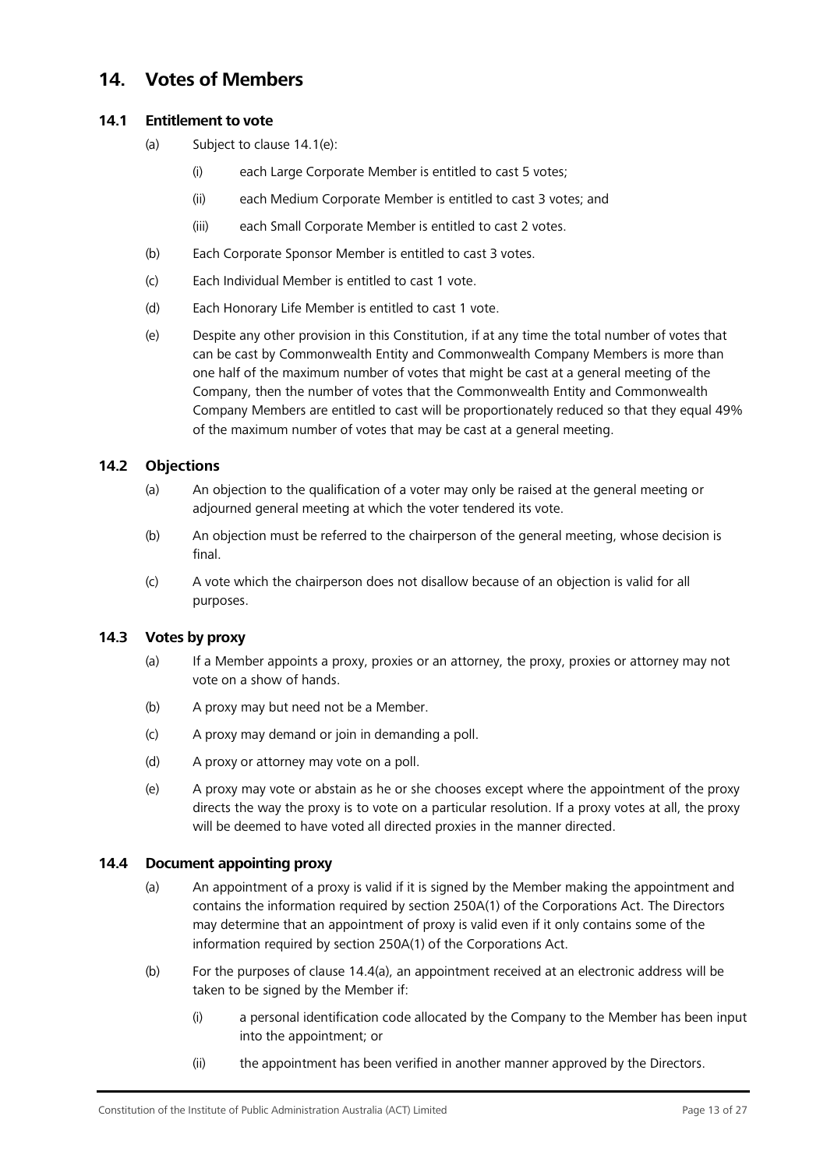# <span id="page-12-0"></span>**14. Votes of Members**

## <span id="page-12-1"></span>**14.1 Entitlement to vote**

- (a) Subject to clause [14.1\(e\):](#page-12-2)
	- (i) each Large Corporate Member is entitled to cast 5 votes;
	- (ii) each Medium Corporate Member is entitled to cast 3 votes; and
	- (iii) each Small Corporate Member is entitled to cast 2 votes.
- (b) Each Corporate Sponsor Member is entitled to cast 3 votes.
- (c) Each Individual Member is entitled to cast 1 vote.
- <span id="page-12-2"></span>(d) Each Honorary Life Member is entitled to cast 1 vote.
- (e) Despite any other provision in this Constitution, if at any time the total number of votes that can be cast by Commonwealth Entity and Commonwealth Company Members is more than one half of the maximum number of votes that might be cast at a general meeting of the Company, then the number of votes that the Commonwealth Entity and Commonwealth Company Members are entitled to cast will be proportionately reduced so that they equal 49% of the maximum number of votes that may be cast at a general meeting.

## **14.2 Objections**

- (a) An objection to the qualification of a voter may only be raised at the general meeting or adjourned general meeting at which the voter tendered its vote.
- (b) An objection must be referred to the chairperson of the general meeting, whose decision is final.
- (c) A vote which the chairperson does not disallow because of an objection is valid for all purposes.

## **14.3 Votes by proxy**

- (a) If a Member appoints a proxy, proxies or an attorney, the proxy, proxies or attorney may not vote on a show of hands.
- (b) A proxy may but need not be a Member.
- (c) A proxy may demand or join in demanding a poll.
- (d) A proxy or attorney may vote on a poll.
- (e) A proxy may vote or abstain as he or she chooses except where the appointment of the proxy directs the way the proxy is to vote on a particular resolution. If a proxy votes at all, the proxy will be deemed to have voted all directed proxies in the manner directed.

## <span id="page-12-3"></span>**14.4 Document appointing proxy**

- (a) An appointment of a proxy is valid if it is signed by the Member making the appointment and contains the information required by section 250A(1) of the Corporations Act. The Directors may determine that an appointment of proxy is valid even if it only contains some of the information required by section 250A(1) of the Corporations Act.
- (b) For the purposes of clause [14.4\(a\), a](#page-12-3)n appointment received at an electronic address will be taken to be signed by the Member if:
	- (i) a personal identification code allocated by the Company to the Member has been input into the appointment; or
	- (ii) the appointment has been verified in another manner approved by the Directors.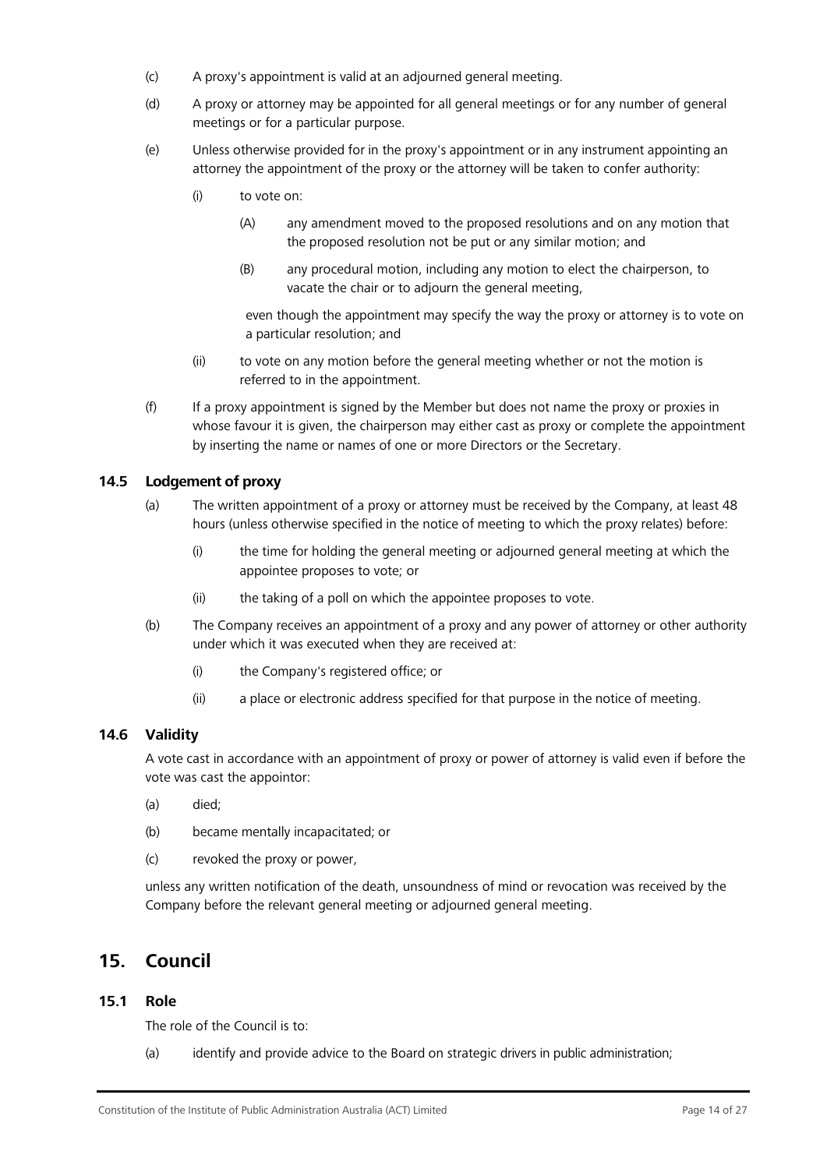- (c) A proxy's appointment is valid at an adjourned general meeting.
- (d) A proxy or attorney may be appointed for all general meetings or for any number of general meetings or for a particular purpose.
- (e) Unless otherwise provided for in the proxy's appointment or in any instrument appointing an attorney the appointment of the proxy or the attorney will be taken to confer authority:
	- (i) to vote on:
		- (A) any amendment moved to the proposed resolutions and on any motion that the proposed resolution not be put or any similar motion; and
		- (B) any procedural motion, including any motion to elect the chairperson, to vacate the chair or to adjourn the general meeting,

even though the appointment may specify the way the proxy or attorney is to vote on a particular resolution; and

- (ii) to vote on any motion before the general meeting whether or not the motion is referred to in the appointment.
- (f) If a proxy appointment is signed by the Member but does not name the proxy or proxies in whose favour it is given, the chairperson may either cast as proxy or complete the appointment by inserting the name or names of one or more Directors or the Secretary.

## **14.5 Lodgement of proxy**

- (a) The written appointment of a proxy or attorney must be received by the Company, at least 48 hours (unless otherwise specified in the notice of meeting to which the proxy relates) before:
	- (i) the time for holding the general meeting or adjourned general meeting at which the appointee proposes to vote; or
	- (ii) the taking of a poll on which the appointee proposes to vote.
- (b) The Company receives an appointment of a proxy and any power of attorney or other authority under which it was executed when they are received at:
	- (i) the Company's registered office; or
	- (ii) a place or electronic address specified for that purpose in the notice of meeting.

## **14.6 Validity**

A vote cast in accordance with an appointment of proxy or power of attorney is valid even if before the vote was cast the appointor:

- (a) died;
- (b) became mentally incapacitated; or
- (c) revoked the proxy or power,

unless any written notification of the death, unsoundness of mind or revocation was received by the Company before the relevant general meeting or adjourned general meeting.

## <span id="page-13-0"></span>**15. Council**

## **15.1 Role**

The role of the Council is to:

(a) identify and provide advice to the Board on strategic drivers in public administration;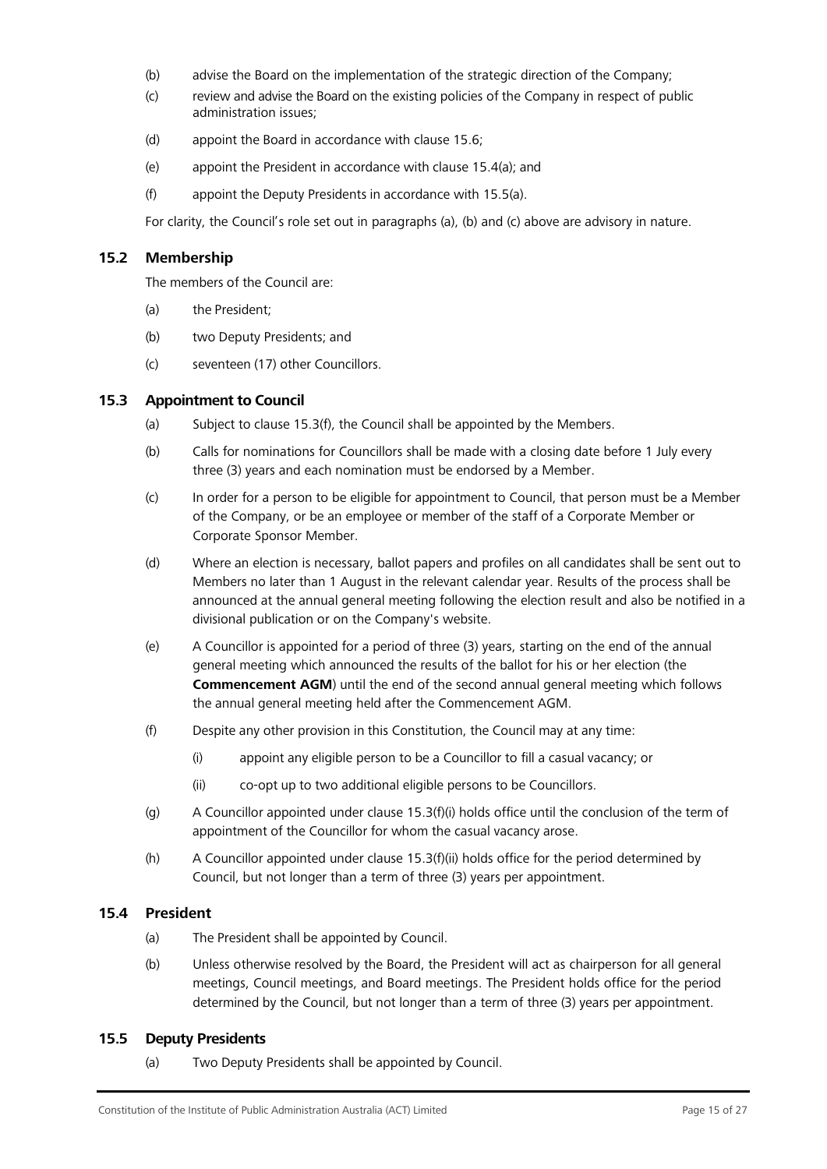- (b) advise the Board on the implementation of the strategic direction of the Company;
- (c) review and advise the Board on the existing policies of the Company in respect of public administration issues;
- (d) appoint the Board in accordance with clause [15.6;](#page-15-0)
- (e) appoint the President in accordance with clause [15.4\(a\);](#page-14-1) and
- (f) appoint the Deputy Presidents in accordance with [15.5\(a\).](#page-14-2)

For clarity, the Council's role set out in paragraphs (a), (b) and (c) above are advisory in nature.

## **15.2 Membership**

The members of the Council are:

- (a) the President;
- (b) two Deputy Presidents; and
- (c) seventeen (17) other Councillors.

## <span id="page-14-0"></span>**15.3 Appointment to Council**

- (a) Subject to clause [15.3\(f\),](#page-14-3) the Council shall be appointed by the Members.
- (b) Calls for nominations for Councillors shall be made with a closing date before 1 July every three (3) years and each nomination must be endorsed by a Member.
- (c) In order for a person to be eligible for appointment to Council, that person must be a Member of the Company, or be an employee or member of the staff of a Corporate Member or Corporate Sponsor Member.
- (d) Where an election is necessary, ballot papers and profiles on all candidates shall be sent out to Members no later than 1 August in the relevant calendar year. Results of the process shall be announced at the annual general meeting following the election result and also be notified in a divisional publication or on the Company's website.
- <span id="page-14-5"></span>(e) A Councillor is appointed for a period of three (3) years, starting on the end of the annual general meeting which announced the results of the ballot for his or her election (the **Commencement AGM**) until the end of the second annual general meeting which follows the annual general meeting held after the Commencement AGM.
- <span id="page-14-4"></span><span id="page-14-3"></span>(f) Despite any other provision in this Constitution, the Council may at any time:
	- (i) appoint any eligible person to be a Councillor to fill a casual vacancy; or
	- (ii) co-opt up to two additional eligible persons to be Councillors.
- (g) A Councillor appointed under clause [15.3\(f\)\(i\) h](#page-14-4)olds office until the conclusion of the term of appointment of the Councillor for whom the casual vacancy arose.
- (h) A Councillor appointed under clause 15.3(f)(ii) holds office for the period determined by Council, but not longer than a term of three (3) years per appointment.

## <span id="page-14-1"></span>**15.4 President**

- (a) The President shall be appointed by Council.
- (b) Unless otherwise resolved by the Board, the President will act as chairperson for all general meetings, Council meetings, and Board meetings. The President holds office for the period determined by the Council, but not longer than a term of three (3) years per appointment.

## <span id="page-14-2"></span>**15.5 Deputy Presidents**

(a) Two Deputy Presidents shall be appointed by Council.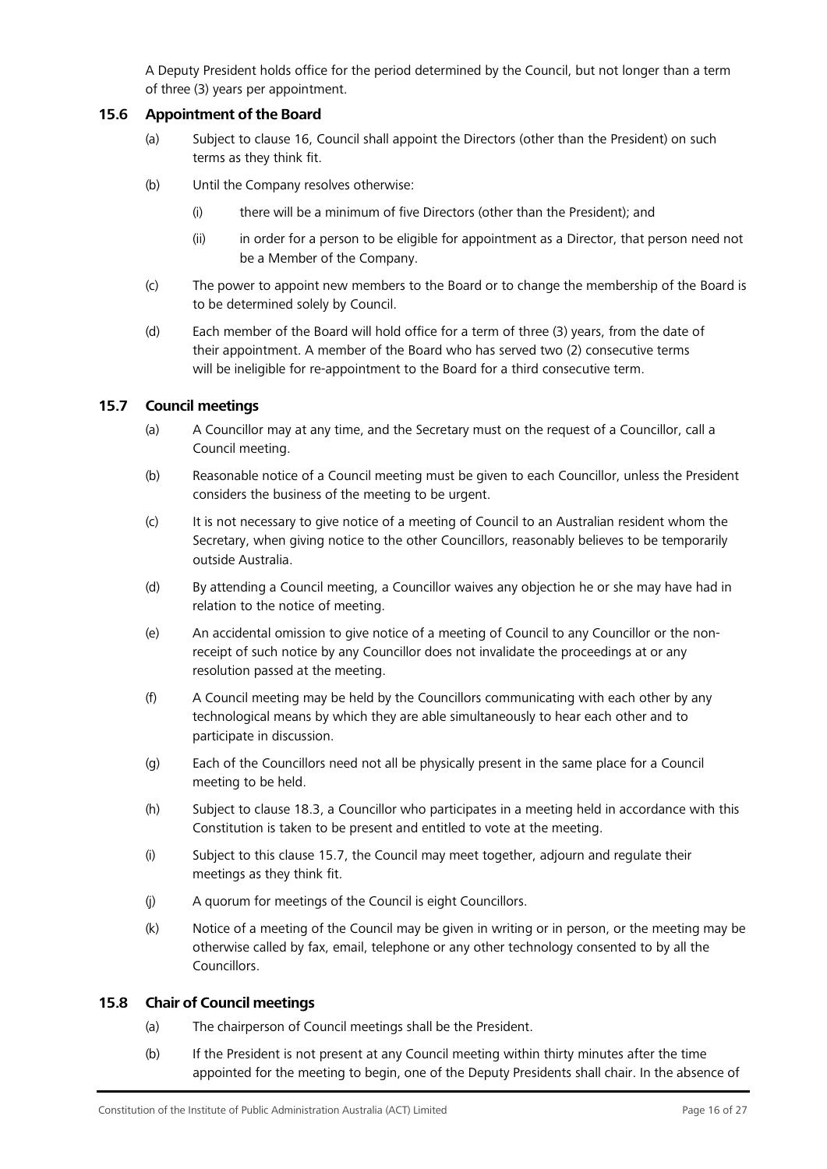<span id="page-15-0"></span>A Deputy President holds office for the period determined by the Council, but not longer than a term of three (3) years per appointment.

## **15.6 Appointment of the Board**

- (a) Subject to clause [16, C](#page-16-0)ouncil shall appoint the Directors (other than the President) on such terms as they think fit.
- (b) Until the Company resolves otherwise:
	- (i) there will be a minimum of five Directors (other than the President); and
	- (ii) in order for a person to be eligible for appointment as a Director, that person need not be a Member of the Company.
- (c) The power to appoint new members to the Board or to change the membership of the Board is to be determined solely by Council.
- (d) Each member of the Board will hold office for a term of three (3) years, from the date of their appointment. A member of the Board who has served two (2) consecutive terms will be ineligible for re-appointment to the Board for a third consecutive term.

## <span id="page-15-1"></span>**15.7 Council meetings**

- (a) A Councillor may at any time, and the Secretary must on the request of a Councillor, call a Council meeting.
- (b) Reasonable notice of a Council meeting must be given to each Councillor, unless the President considers the business of the meeting to be urgent.
- (c) It is not necessary to give notice of a meeting of Council to an Australian resident whom the Secretary, when giving notice to the other Councillors, reasonably believes to be temporarily outside Australia.
- (d) By attending a Council meeting, a Councillor waives any objection he or she may have had in relation to the notice of meeting.
- (e) An accidental omission to give notice of a meeting of Council to any Councillor or the nonreceipt of such notice by any Councillor does not invalidate the proceedings at or any resolution passed at the meeting.
- (f) A Council meeting may be held by the Councillors communicating with each other by any technological means by which they are able simultaneously to hear each other and to participate in discussion.
- (g) Each of the Councillors need not all be physically present in the same place for a Council meeting to be held.
- (h) Subject to clause [18.3, a](#page-19-0) Councillor who participates in a meeting held in accordance with this Constitution is taken to be present and entitled to vote at the meeting.
- (i) Subject to this clause [15.7, t](#page-15-1)he Council may meet together, adjourn and regulate their meetings as they think fit.
- (j) A quorum for meetings of the Council is eight Councillors.
- (k) Notice of a meeting of the Council may be given in writing or in person, or the meeting may be otherwise called by fax, email, telephone or any other technology consented to by all the Councillors.

## **15.8 Chair of Council meetings**

- (a) The chairperson of Council meetings shall be the President.
- (b) If the President is not present at any Council meeting within thirty minutes after the time appointed for the meeting to begin, one of the Deputy Presidents shall chair. In the absence of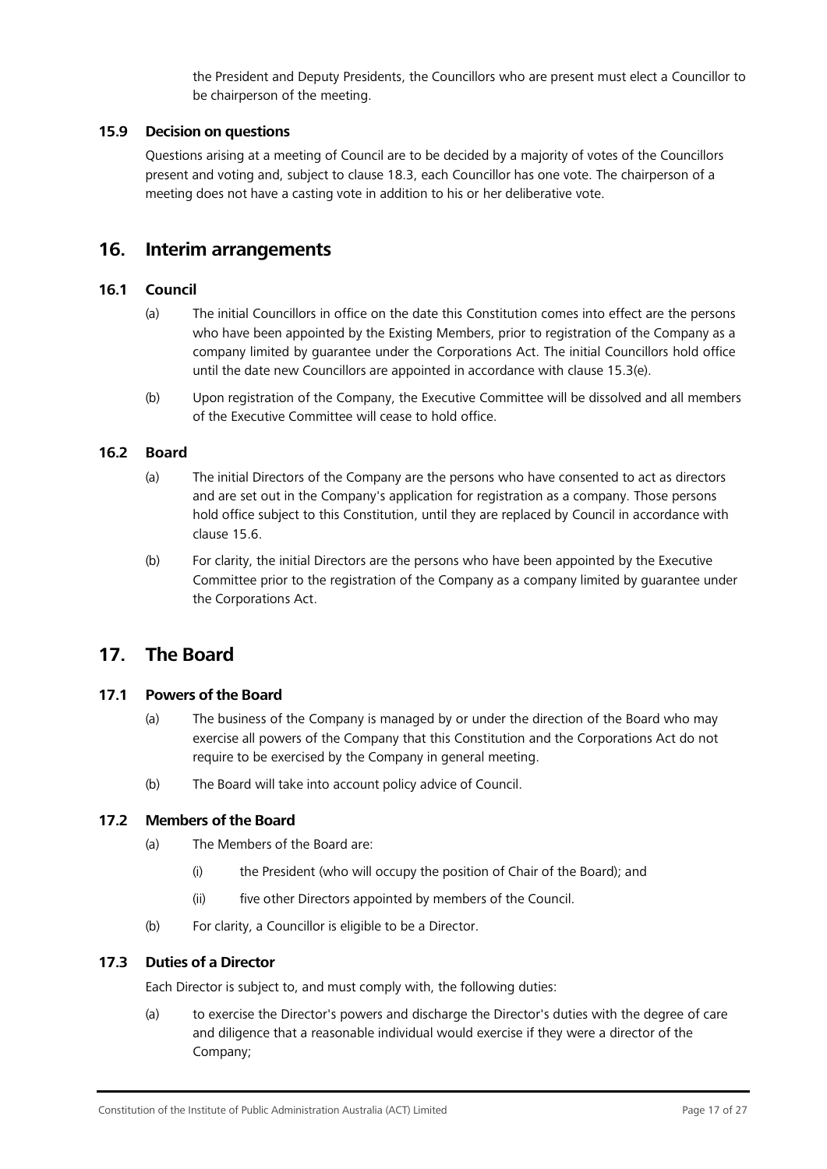the President and Deputy Presidents, the Councillors who are present must elect a Councillor to be chairperson of the meeting.

## **15.9 Decision on questions**

Questions arising at a meeting of Council are to be decided by a majority of votes of the Councillors present and voting and, subject to clause [18.3, e](#page-19-0)ach Councillor has one vote. The chairperson of a meeting does not have a casting vote in addition to his or her deliberative vote.

## <span id="page-16-0"></span>**16. Interim arrangements**

## **16.1 Council**

- (a) The initial Councillors in office on the date this Constitution comes into effect are the persons who have been appointed by the Existing Members, prior to registration of the Company as a company limited by guarantee under the Corporations Act. The initial Councillors hold office until the date new Councillors are appointed in accordance with clause [15.3\(e\).](#page-14-5)
- (b) Upon registration of the Company, the Executive Committee will be dissolved and all members of the Executive Committee will cease to hold office.

## **16.2 Board**

- (a) The initial Directors of the Company are the persons who have consented to act as directors and are set out in the Company's application for registration as a company. Those persons hold office subject to this Constitution, until they are replaced by Council in accordance with clause [15.6.](#page-15-0)
- (b) For clarity, the initial Directors are the persons who have been appointed by the Executive Committee prior to the registration of the Company as a company limited by guarantee under the Corporations Act.

## <span id="page-16-1"></span>**17. The Board**

## **17.1 Powers of the Board**

- (a) The business of the Company is managed by or under the direction of the Board who may exercise all powers of the Company that this Constitution and the Corporations Act do not require to be exercised by the Company in general meeting.
- (b) The Board will take into account policy advice of Council.

## **17.2 Members of the Board**

- (a) The Members of the Board are:
	- (i) the President (who will occupy the position of Chair of the Board); and
	- (ii) five other Directors appointed by members of the Council.
- (b) For clarity, a Councillor is eligible to be a Director.

## **17.3 Duties of a Director**

Each Director is subject to, and must comply with, the following duties:

(a) to exercise the Director's powers and discharge the Director's duties with the degree of care and diligence that a reasonable individual would exercise if they were a director of the Company;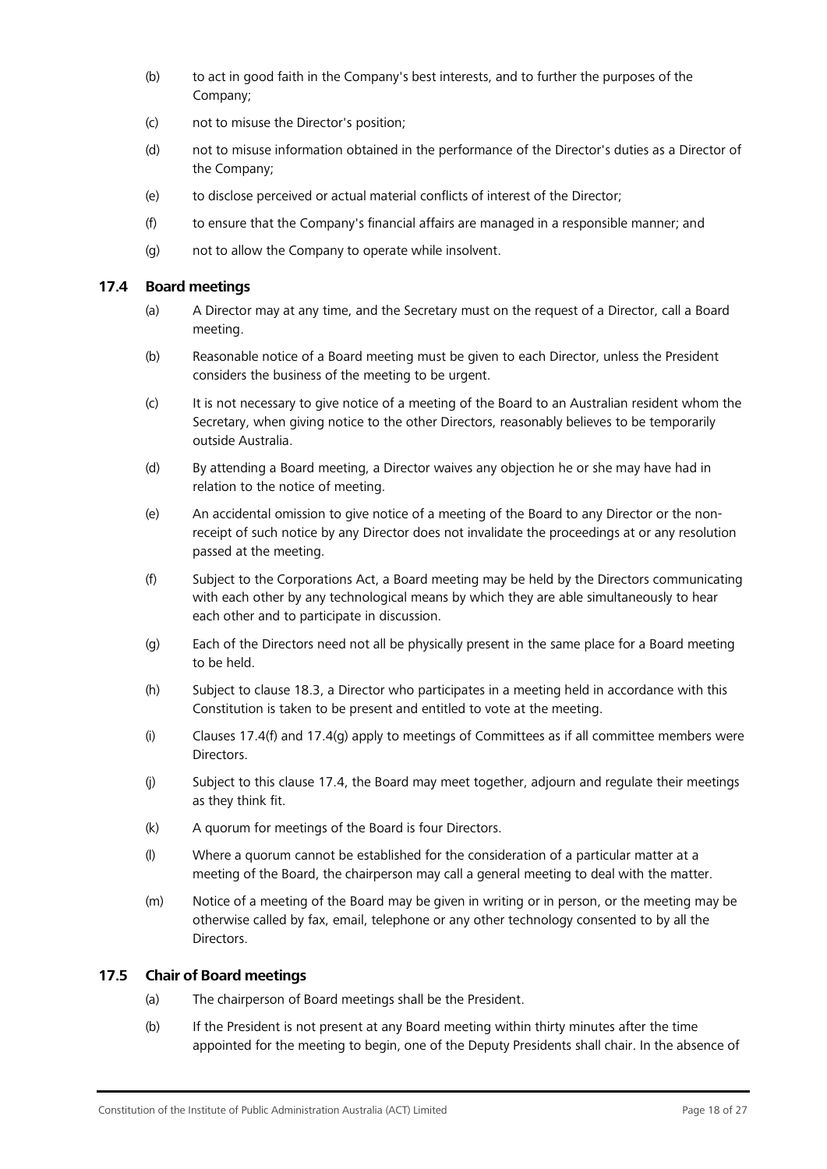- (b) to act in good faith in the Company's best interests, and to further the purposes of the Company;
- (c) not to misuse the Director's position;
- (d) not to misuse information obtained in the performance of the Director's duties as a Director of the Company;
- (e) to disclose perceived or actual material conflicts of interest of the Director;
- (f) to ensure that the Company's financial affairs are managed in a responsible manner; and
- (g) not to allow the Company to operate while insolvent.

#### <span id="page-17-2"></span>**17.4 Board meetings**

- (a) A Director may at any time, and the Secretary must on the request of a Director, call a Board meeting.
- (b) Reasonable notice of a Board meeting must be given to each Director, unless the President considers the business of the meeting to be urgent.
- (c) It is not necessary to give notice of a meeting of the Board to an Australian resident whom the Secretary, when giving notice to the other Directors, reasonably believes to be temporarily outside Australia.
- (d) By attending a Board meeting, a Director waives any objection he or she may have had in relation to the notice of meeting.
- (e) An accidental omission to give notice of a meeting of the Board to any Director or the nonreceipt of such notice by any Director does not invalidate the proceedings at or any resolution passed at the meeting.
- <span id="page-17-0"></span>(f) Subject to the Corporations Act, a Board meeting may be held by the Directors communicating with each other by any technological means by which they are able simultaneously to hear each other and to participate in discussion.
- <span id="page-17-1"></span>(g) Each of the Directors need not all be physically present in the same place for a Board meeting to be held.
- (h) Subject to clause [18.3, a](#page-19-0) Director who participates in a meeting held in accordance with this Constitution is taken to be present and entitled to vote at the meeting.
- $(i)$  Clauses [17.4\(f\) a](#page-17-0)nd 17.4(q) apply to meetings of Committees as if all committee members were Directors.
- (j) Subject to this clause [17.4, t](#page-17-2)he Board may meet together, adjourn and regulate their meetings as they think fit.
- (k) A quorum for meetings of the Board is four Directors.
- (l) Where a quorum cannot be established for the consideration of a particular matter at a meeting of the Board, the chairperson may call a general meeting to deal with the matter.
- (m) Notice of a meeting of the Board may be given in writing or in person, or the meeting may be otherwise called by fax, email, telephone or any other technology consented to by all the Directors.

## **17.5 Chair of Board meetings**

- (a) The chairperson of Board meetings shall be the President.
- (b) If the President is not present at any Board meeting within thirty minutes after the time appointed for the meeting to begin, one of the Deputy Presidents shall chair. In the absence of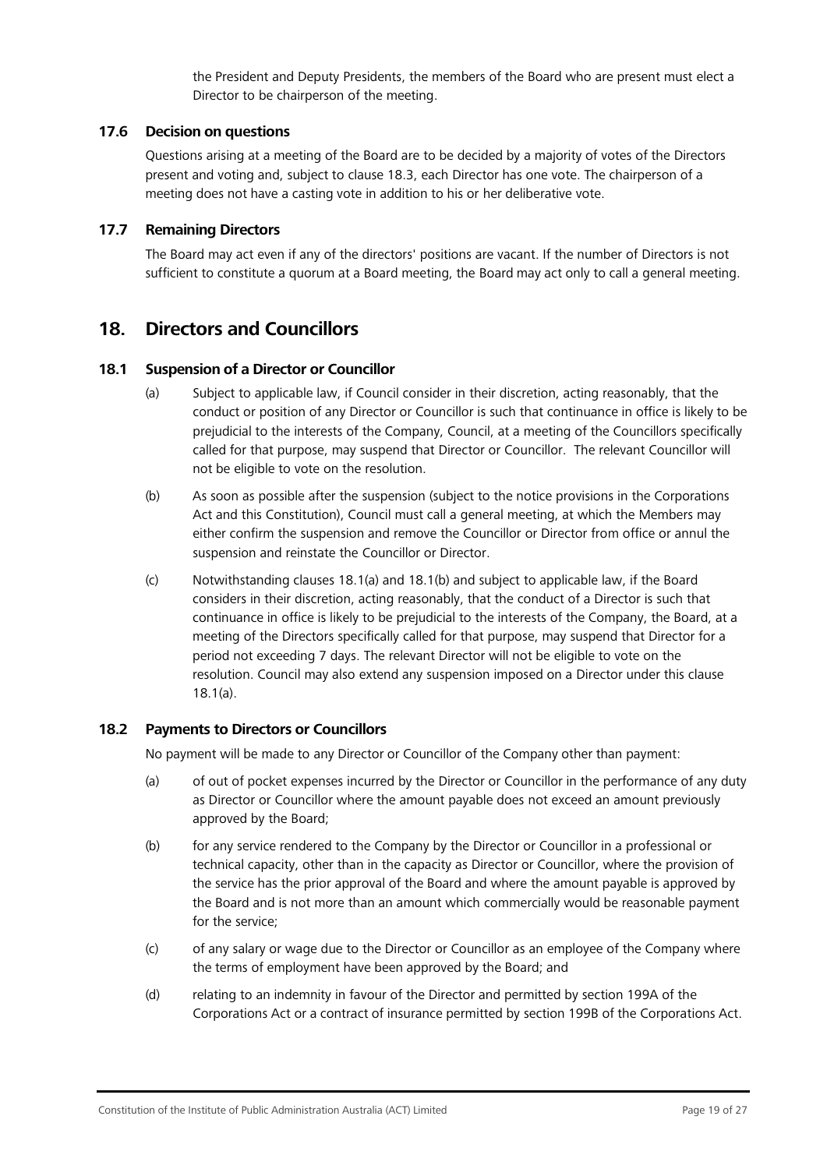the President and Deputy Presidents, the members of the Board who are present must elect a Director to be chairperson of the meeting.

## **17.6 Decision on questions**

Questions arising at a meeting of the Board are to be decided by a majority of votes of the Directors present and voting and, subject to clause [18.3, e](#page-19-0)ach Director has one vote. The chairperson of a meeting does not have a casting vote in addition to his or her deliberative vote.

## **17.7 Remaining Directors**

The Board may act even if any of the directors' positions are vacant. If the number of Directors is not sufficient to constitute a quorum at a Board meeting, the Board may act only to call a general meeting.

## <span id="page-18-0"></span>**18. Directors and Councillors**

## <span id="page-18-1"></span>**18.1 Suspension of a Director or Councillor**

- (a) Subject to applicable law, if Council consider in their discretion, acting reasonably, that the conduct or position of any Director or Councillor is such that continuance in office is likely to be prejudicial to the interests of the Company, Council, at a meeting of the Councillors specifically called for that purpose, may suspend that Director or Councillor. The relevant Councillor will not be eligible to vote on the resolution.
- <span id="page-18-2"></span>(b) As soon as possible after the suspension (subject to the notice provisions in the Corporations Act and this Constitution), Council must call a general meeting, at which the Members may either confirm the suspension and remove the Councillor or Director from office or annul the suspension and reinstate the Councillor or Director.
- (c) Notwithstanding clauses [18.1\(a\) a](#page-18-1)nd [18.1\(b\) a](#page-18-2)nd subject to applicable law, if the Board considers in their discretion, acting reasonably, that the conduct of a Director is such that continuance in office is likely to be prejudicial to the interests of the Company, the Board, at a meeting of the Directors specifically called for that purpose, may suspend that Director for a period not exceeding 7 days. The relevant Director will not be eligible to vote on the resolution. Council may also extend any suspension imposed on a Director under this clause [18.1\(a\).](#page-18-1)

## **18.2 Payments to Directors or Councillors**

No payment will be made to any Director or Councillor of the Company other than payment:

- (a) of out of pocket expenses incurred by the Director or Councillor in the performance of any duty as Director or Councillor where the amount payable does not exceed an amount previously approved by the Board;
- (b) for any service rendered to the Company by the Director or Councillor in a professional or technical capacity, other than in the capacity as Director or Councillor, where the provision of the service has the prior approval of the Board and where the amount payable is approved by the Board and is not more than an amount which commercially would be reasonable payment for the service;
- (c) of any salary or wage due to the Director or Councillor as an employee of the Company where the terms of employment have been approved by the Board; and
- (d) relating to an indemnity in favour of the Director and permitted by section 199A of the Corporations Act or a contract of insurance permitted by section 199B of the Corporations Act.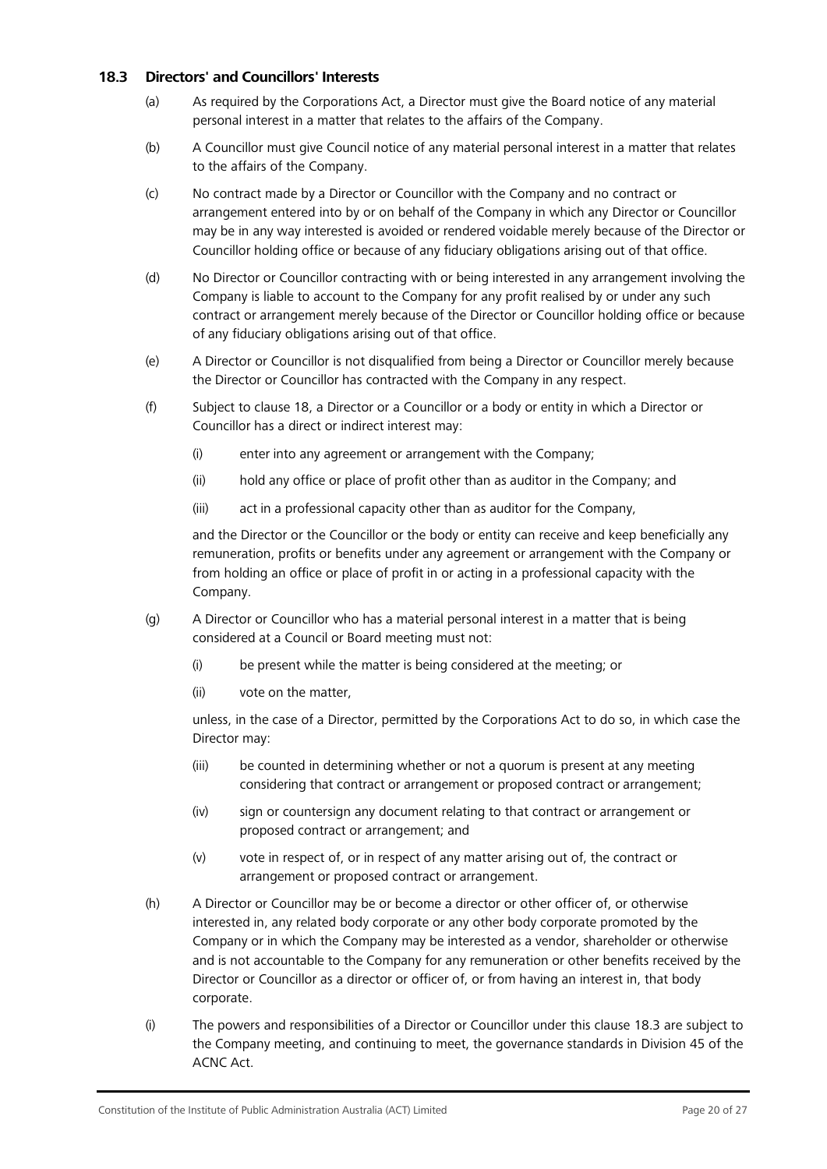## <span id="page-19-0"></span>**18.3 Directors' and Councillors' Interests**

- (a) As required by the Corporations Act, a Director must give the Board notice of any material personal interest in a matter that relates to the affairs of the Company.
- (b) A Councillor must give Council notice of any material personal interest in a matter that relates to the affairs of the Company.
- (c) No contract made by a Director or Councillor with the Company and no contract or arrangement entered into by or on behalf of the Company in which any Director or Councillor may be in any way interested is avoided or rendered voidable merely because of the Director or Councillor holding office or because of any fiduciary obligations arising out of that office.
- (d) No Director or Councillor contracting with or being interested in any arrangement involving the Company is liable to account to the Company for any profit realised by or under any such contract or arrangement merely because of the Director or Councillor holding office or because of any fiduciary obligations arising out of that office.
- (e) A Director or Councillor is not disqualified from being a Director or Councillor merely because the Director or Councillor has contracted with the Company in any respect.
- (f) Subject to clause [18, a](#page-18-0) Director or a Councillor or a body or entity in which a Director or Councillor has a direct or indirect interest may:
	- (i) enter into any agreement or arrangement with the Company;
	- (ii) hold any office or place of profit other than as auditor in the Company; and
	- (iii) act in a professional capacity other than as auditor for the Company,

and the Director or the Councillor or the body or entity can receive and keep beneficially any remuneration, profits or benefits under any agreement or arrangement with the Company or from holding an office or place of profit in or acting in a professional capacity with the Company.

- (g) A Director or Councillor who has a material personal interest in a matter that is being considered at a Council or Board meeting must not:
	- (i) be present while the matter is being considered at the meeting; or
	- (ii) vote on the matter,

unless, in the case of a Director, permitted by the Corporations Act to do so, in which case the Director may:

- (iii) be counted in determining whether or not a quorum is present at any meeting considering that contract or arrangement or proposed contract or arrangement;
- (iv) sign or countersign any document relating to that contract or arrangement or proposed contract or arrangement; and
- (v) vote in respect of, or in respect of any matter arising out of, the contract or arrangement or proposed contract or arrangement.
- (h) A Director or Councillor may be or become a director or other officer of, or otherwise interested in, any related body corporate or any other body corporate promoted by the Company or in which the Company may be interested as a vendor, shareholder or otherwise and is not accountable to the Company for any remuneration or other benefits received by the Director or Councillor as a director or officer of, or from having an interest in, that body corporate.
- (i) The powers and responsibilities of a Director or Councillor under this clause [18.3 a](#page-19-0)re subject to the Company meeting, and continuing to meet, the governance standards in Division 45 of the ACNC Act.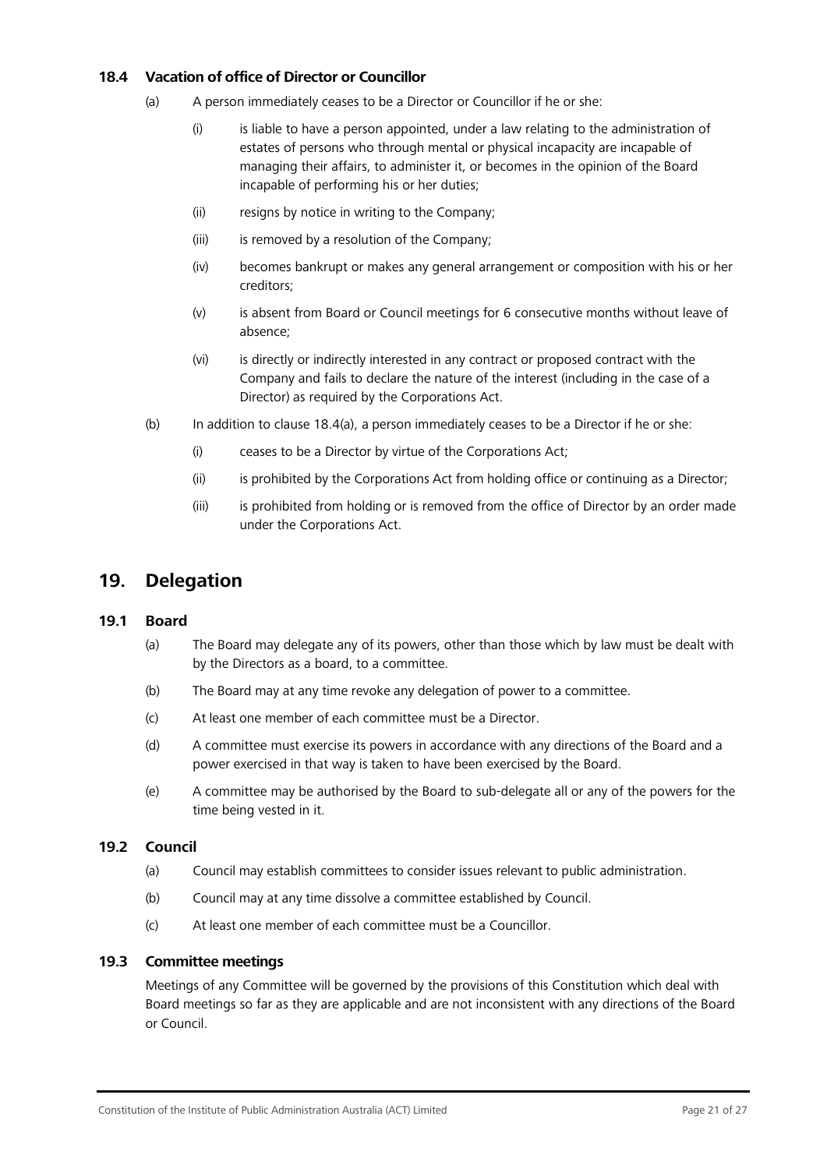## <span id="page-20-1"></span>**18.4 Vacation of office of Director or Councillor**

- (a) A person immediately ceases to be a Director or Councillor if he or she:
	- (i) is liable to have a person appointed, under a law relating to the administration of estates of persons who through mental or physical incapacity are incapable of managing their affairs, to administer it, or becomes in the opinion of the Board incapable of performing his or her duties;
	- (ii) resigns by notice in writing to the Company;
	- (iii) is removed by a resolution of the Company;
	- (iv) becomes bankrupt or makes any general arrangement or composition with his or her creditors;
	- (v) is absent from Board or Council meetings for 6 consecutive months without leave of absence;
	- (vi) is directly or indirectly interested in any contract or proposed contract with the Company and fails to declare the nature of the interest (including in the case of a Director) as required by the Corporations Act.
- (b) In addition to clause [18.4\(a\),](#page-20-1) a person immediately ceases to be a Director if he or she:
	- (i) ceases to be a Director by virtue of the Corporations Act;
	- (ii) is prohibited by the Corporations Act from holding office or continuing as a Director;
	- (iii) is prohibited from holding or is removed from the office of Director by an order made under the Corporations Act.

## <span id="page-20-0"></span>**19. Delegation**

## **19.1 Board**

- (a) The Board may delegate any of its powers, other than those which by law must be dealt with by the Directors as a board, to a committee.
- (b) The Board may at any time revoke any delegation of power to a committee.
- (c) At least one member of each committee must be a Director.
- (d) A committee must exercise its powers in accordance with any directions of the Board and a power exercised in that way is taken to have been exercised by the Board.
- (e) A committee may be authorised by the Board to sub-delegate all or any of the powers for the time being vested in it.

## **19.2 Council**

- (a) Council may establish committees to consider issues relevant to public administration.
- (b) Council may at any time dissolve a committee established by Council.
- (c) At least one member of each committee must be a Councillor.

## **19.3 Committee meetings**

Meetings of any Committee will be governed by the provisions of this Constitution which deal with Board meetings so far as they are applicable and are not inconsistent with any directions of the Board or Council.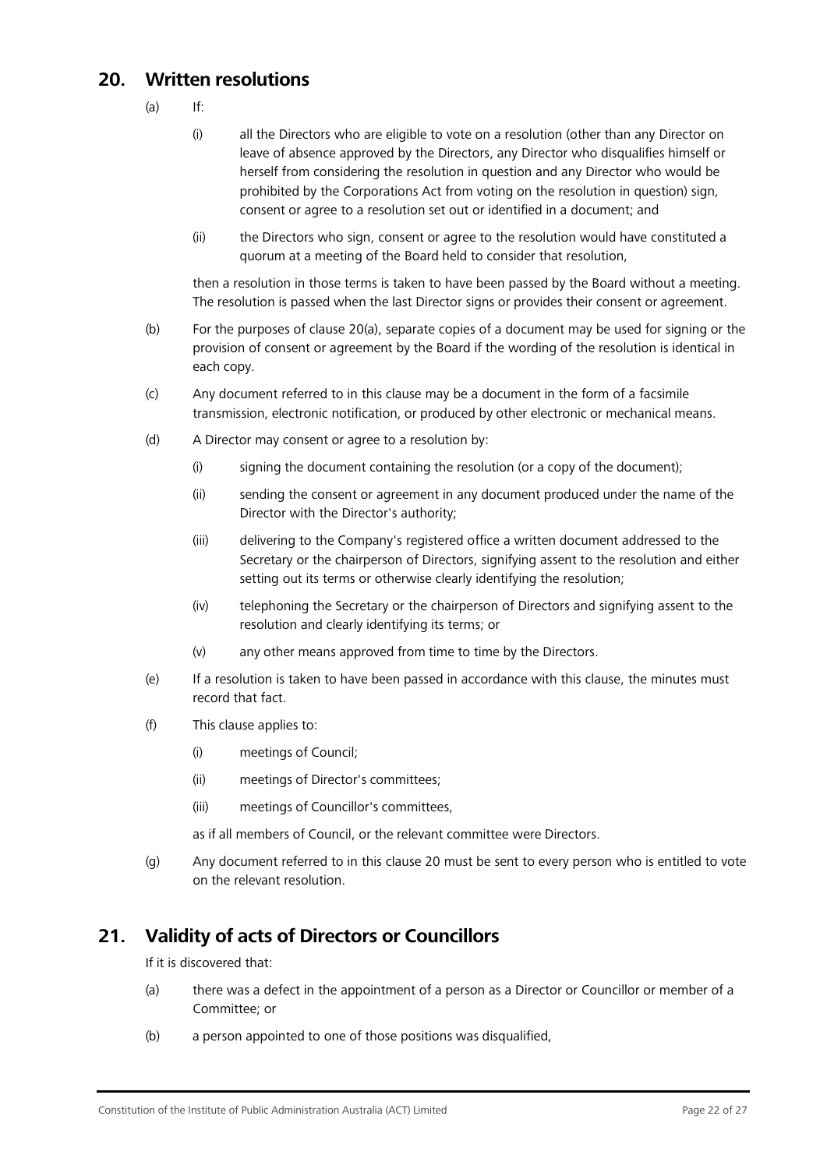# <span id="page-21-2"></span><span id="page-21-0"></span>**20. Written resolutions**

- $(a)$  If:
	- (i) all the Directors who are eligible to vote on a resolution (other than any Director on leave of absence approved by the Directors, any Director who disqualifies himself or herself from considering the resolution in question and any Director who would be prohibited by the Corporations Act from voting on the resolution in question) sign, consent or agree to a resolution set out or identified in a document; and
	- (ii) the Directors who sign, consent or agree to the resolution would have constituted a quorum at a meeting of the Board held to consider that resolution,

then a resolution in those terms is taken to have been passed by the Board without a meeting. The resolution is passed when the last Director signs or provides their consent or agreement.

- (b) For the purposes of clause [20\(a\), s](#page-21-2)eparate copies of a document may be used for signing or the provision of consent or agreement by the Board if the wording of the resolution is identical in each copy.
- (c) Any document referred to in this clause may be a document in the form of a facsimile transmission, electronic notification, or produced by other electronic or mechanical means.
- (d) A Director may consent or agree to a resolution by:
	- (i) signing the document containing the resolution (or a copy of the document);
	- (ii) sending the consent or agreement in any document produced under the name of the Director with the Director's authority;
	- (iii) delivering to the Company's registered office a written document addressed to the Secretary or the chairperson of Directors, signifying assent to the resolution and either setting out its terms or otherwise clearly identifying the resolution;
	- (iv) telephoning the Secretary or the chairperson of Directors and signifying assent to the resolution and clearly identifying its terms; or
	- (v) any other means approved from time to time by the Directors.
- (e) If a resolution is taken to have been passed in accordance with this clause, the minutes must record that fact.
- (f) This clause applies to:
	- (i) meetings of Council;
	- (ii) meetings of Director's committees;
	- (iii) meetings of Councillor's committees,

as if all members of Council, or the relevant committee were Directors.

(g) Any document referred to in this clause [20 m](#page-21-0)ust be sent to every person who is entitled to vote on the relevant resolution.

# <span id="page-21-1"></span>**21. Validity of acts of Directors or Councillors**

If it is discovered that:

- (a) there was a defect in the appointment of a person as a Director or Councillor or member of a Committee; or
- (b) a person appointed to one of those positions was disqualified,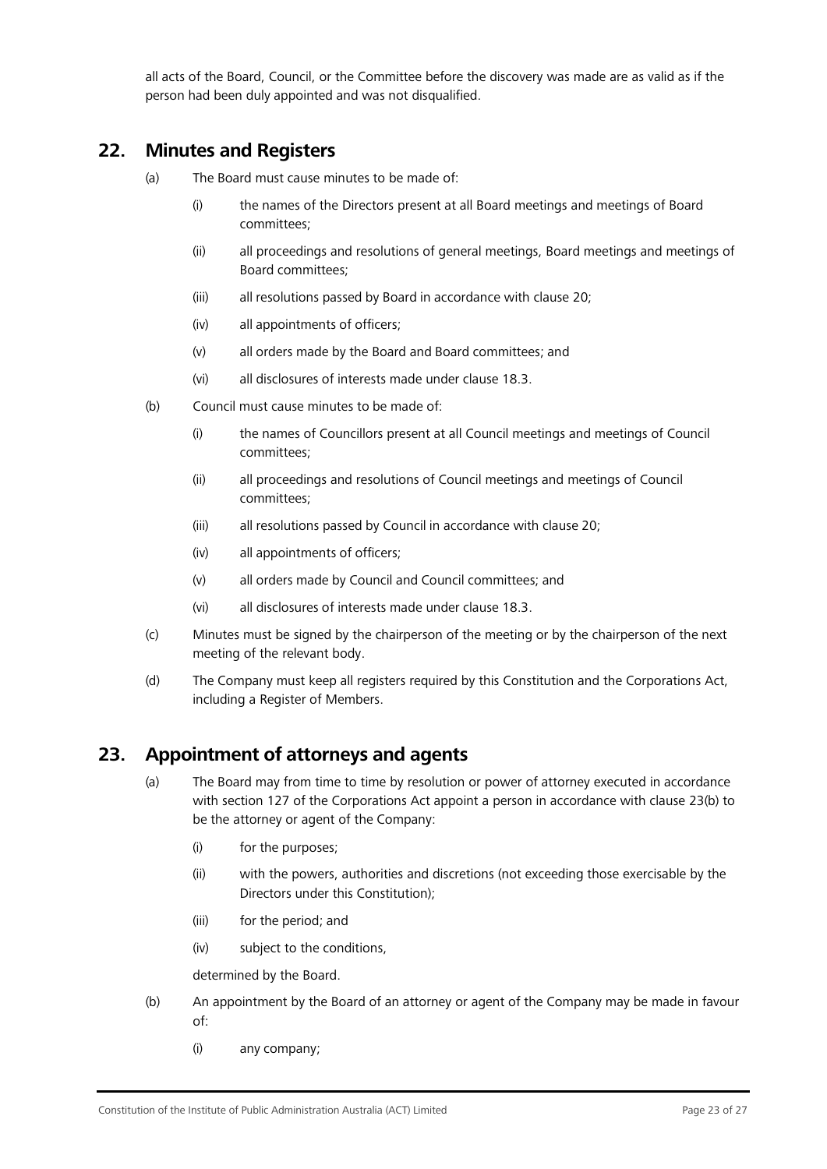all acts of the Board, Council, or the Committee before the discovery was made are as valid as if the person had been duly appointed and was not disqualified.

# <span id="page-22-0"></span>**22. Minutes and Registers**

- (a) The Board must cause minutes to be made of:
	- (i) the names of the Directors present at all Board meetings and meetings of Board committees;
	- (ii) all proceedings and resolutions of general meetings, Board meetings and meetings of Board committees;
	- (iii) all resolutions passed by Board in accordance with clause [20;](#page-21-0)
	- (iv) all appointments of officers;
	- (v) all orders made by the Board and Board committees; and
	- (vi) all disclosures of interests made under clause [18.3.](#page-19-0)
- (b) Council must cause minutes to be made of:
	- (i) the names of Councillors present at all Council meetings and meetings of Council committees;
	- (ii) all proceedings and resolutions of Council meetings and meetings of Council committees;
	- (iii) all resolutions passed by Council in accordance with clause [20;](#page-21-0)
	- (iv) all appointments of officers;
	- (v) all orders made by Council and Council committees; and
	- (vi) all disclosures of interests made under clause [18.3.](#page-19-0)
- (c) Minutes must be signed by the chairperson of the meeting or by the chairperson of the next meeting of the relevant body.
- (d) The Company must keep all registers required by this Constitution and the Corporations Act, including a Register of Members.

## <span id="page-22-1"></span>**23. Appointment of attorneys and agents**

- (a) The Board may from time to time by resolution or power of attorney executed in accordance with section 127 of the Corporations Act appoint a person in accordance with clause [23\(b\) t](#page-22-2)o be the attorney or agent of the Company:
	- (i) for the purposes;
	- (ii) with the powers, authorities and discretions (not exceeding those exercisable by the Directors under this Constitution);
	- (iii) for the period; and
	- (iv) subject to the conditions,

determined by the Board.

- <span id="page-22-2"></span>(b) An appointment by the Board of an attorney or agent of the Company may be made in favour of:
	- (i) any company;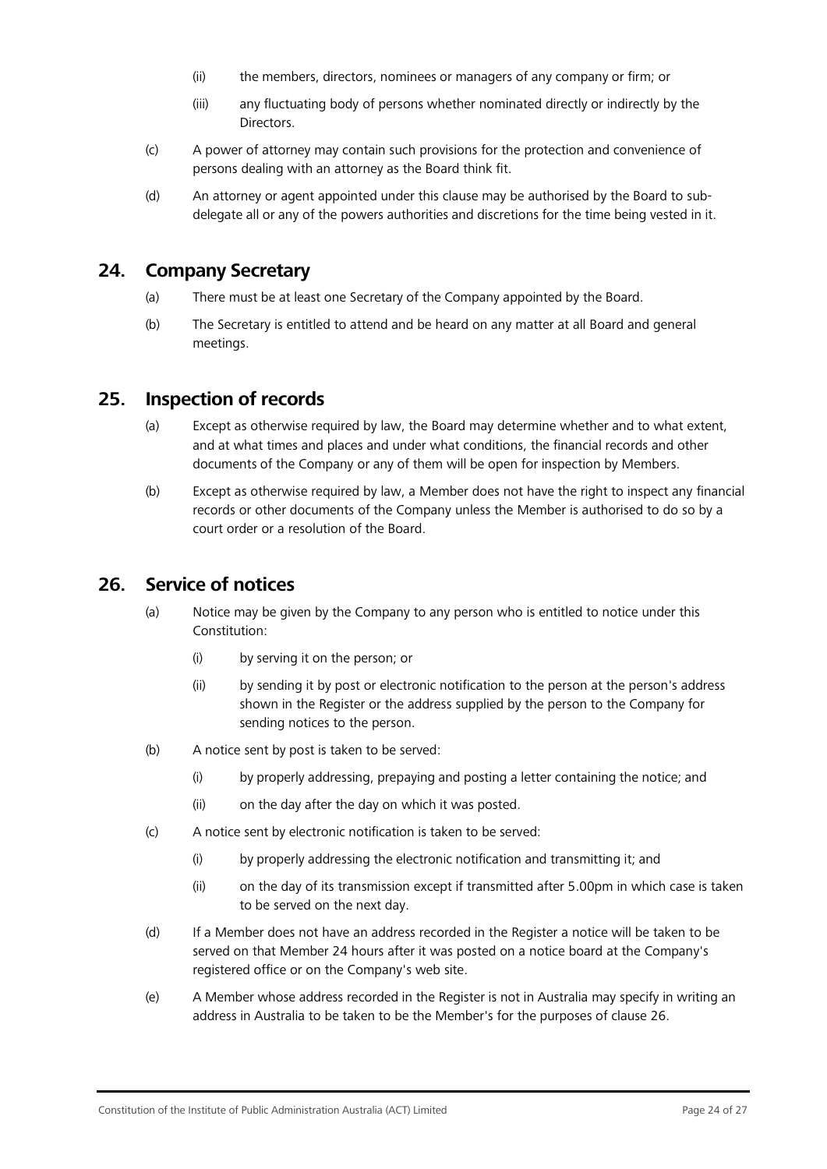- (ii) the members, directors, nominees or managers of any company or firm; or
- (iii) any fluctuating body of persons whether nominated directly or indirectly by the **Directors**
- (c) A power of attorney may contain such provisions for the protection and convenience of persons dealing with an attorney as the Board think fit.
- (d) An attorney or agent appointed under this clause may be authorised by the Board to subdelegate all or any of the powers authorities and discretions for the time being vested in it.

## <span id="page-23-0"></span>**24. Company Secretary**

- (a) There must be at least one Secretary of the Company appointed by the Board.
- (b) The Secretary is entitled to attend and be heard on any matter at all Board and general meetings.

## <span id="page-23-1"></span>**25. Inspection of records**

- (a) Except as otherwise required by law, the Board may determine whether and to what extent, and at what times and places and under what conditions, the financial records and other documents of the Company or any of them will be open for inspection by Members.
- (b) Except as otherwise required by law, a Member does not have the right to inspect any financial records or other documents of the Company unless the Member is authorised to do so by a court order or a resolution of the Board.

# <span id="page-23-2"></span>**26. Service of notices**

- (a) Notice may be given by the Company to any person who is entitled to notice under this Constitution:
	- (i) by serving it on the person; or
	- (ii) by sending it by post or electronic notification to the person at the person's address shown in the Register or the address supplied by the person to the Company for sending notices to the person.
- (b) A notice sent by post is taken to be served:
	- (i) by properly addressing, prepaying and posting a letter containing the notice; and
	- (ii) on the day after the day on which it was posted.
- (c) A notice sent by electronic notification is taken to be served:
	- (i) by properly addressing the electronic notification and transmitting it; and
	- (ii) on the day of its transmission except if transmitted after 5.00pm in which case is taken to be served on the next day.
- (d) If a Member does not have an address recorded in the Register a notice will be taken to be served on that Member 24 hours after it was posted on a notice board at the Company's registered office or on the Company's web site.
- (e) A Member whose address recorded in the Register is not in Australia may specify in writing an address in Australia to be taken to be the Member's for the purposes of clause [26.](#page-23-2)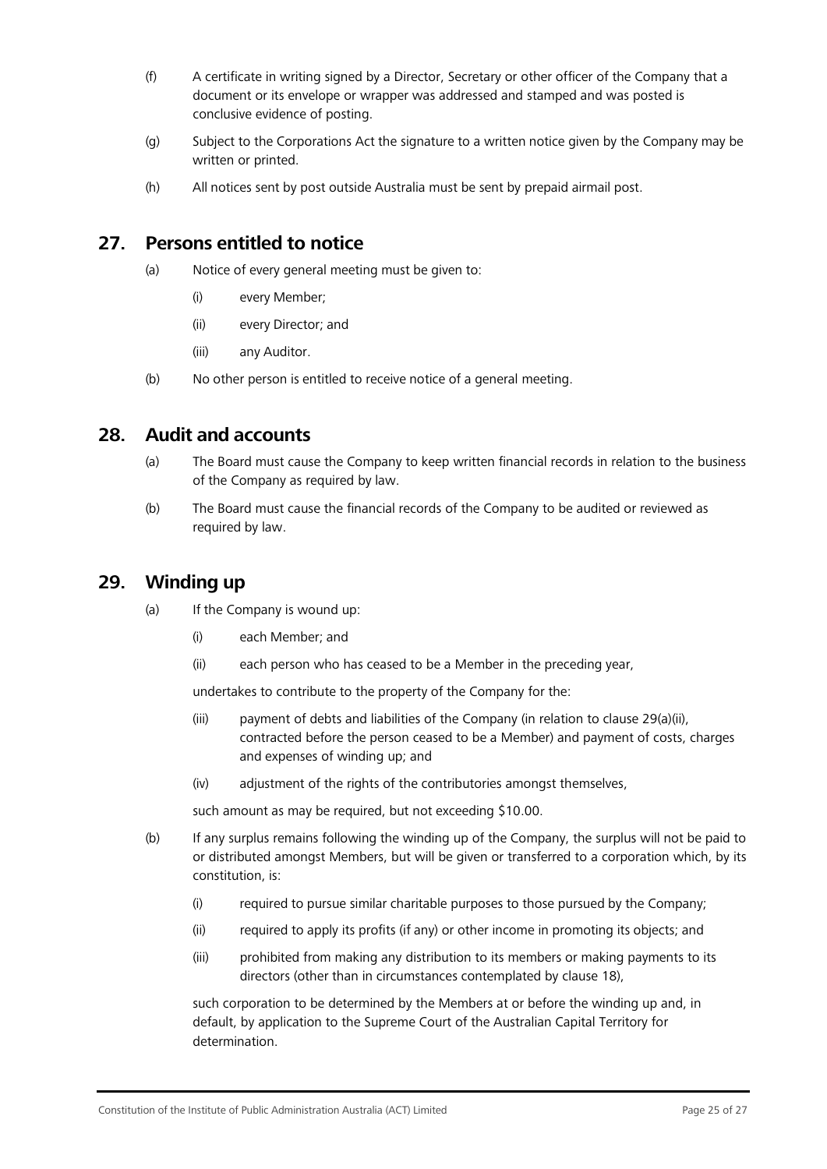- (f) A certificate in writing signed by a Director, Secretary or other officer of the Company that a document or its envelope or wrapper was addressed and stamped and was posted is conclusive evidence of posting.
- (g) Subject to the Corporations Act the signature to a written notice given by the Company may be written or printed.
- (h) All notices sent by post outside Australia must be sent by prepaid airmail post.

# <span id="page-24-3"></span><span id="page-24-0"></span>**27. Persons entitled to notice**

- (a) Notice of every general meeting must be given to:
	- (i) every Member;
	- (ii) every Director; and
	- (iii) any Auditor.
- (b) No other person is entitled to receive notice of a general meeting.

# <span id="page-24-1"></span>**28. Audit and accounts**

- (a) The Board must cause the Company to keep written financial records in relation to the business of the Company as required by law.
- (b) The Board must cause the financial records of the Company to be audited or reviewed as required by law.

# <span id="page-24-4"></span><span id="page-24-2"></span>**29. Winding up**

- (a) If the Company is wound up:
	- (i) each Member; and
	- (ii) each person who has ceased to be a Member in the preceding year,

undertakes to contribute to the property of the Company for the:

- (iii) payment of debts and liabilities of the Company (in relation to clause [29\(a\)\(ii\),](#page-24-4) contracted before the person ceased to be a Member) and payment of costs, charges and expenses of winding up; and
- (iv) adjustment of the rights of the contributories amongst themselves,

such amount as may be required, but not exceeding \$10.00.

- (b) If any surplus remains following the winding up of the Company, the surplus will not be paid to or distributed amongst Members, but will be given or transferred to a corporation which, by its constitution, is:
	- (i) required to pursue similar charitable purposes to those pursued by the Company;
	- (ii) required to apply its profits (if any) or other income in promoting its objects; and
	- (iii) prohibited from making any distribution to its members or making payments to its directors (other than in circumstances contemplated by clause [18\)](#page-18-0),

such corporation to be determined by the Members at or before the winding up and, in default, by application to the Supreme Court of the Australian Capital Territory for determination.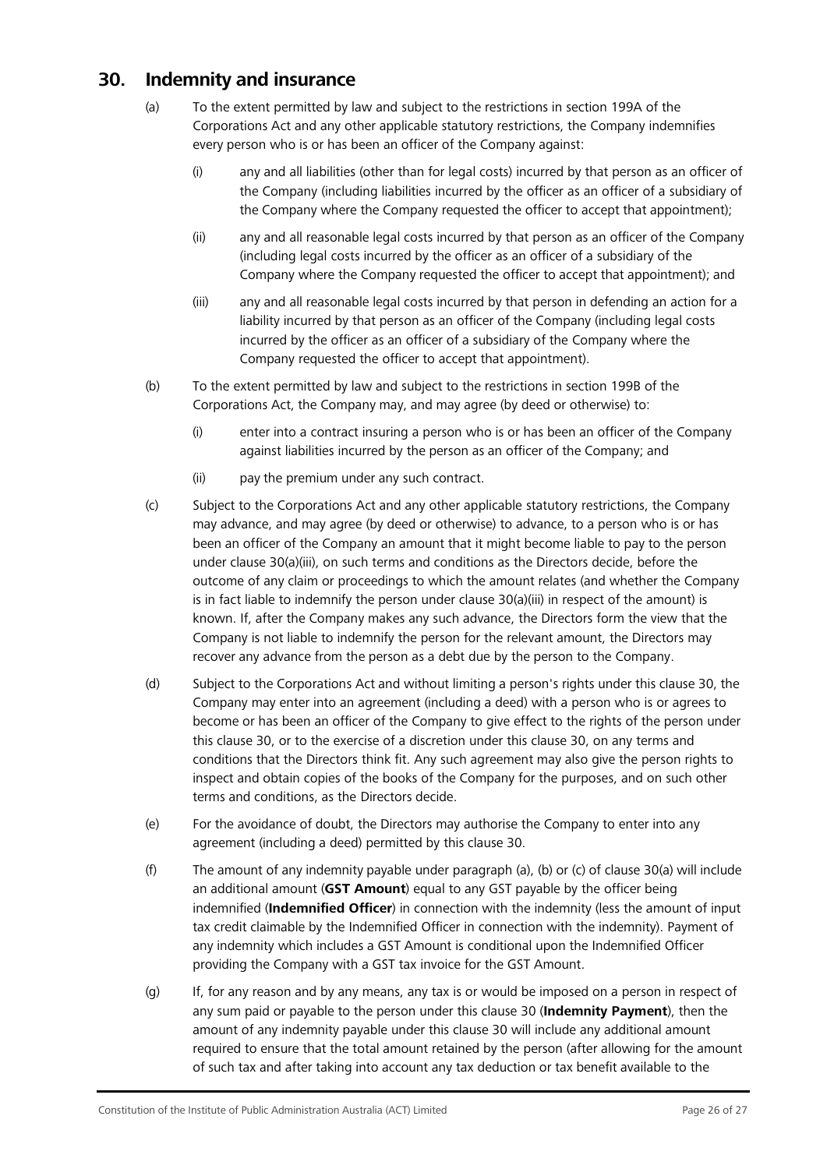# <span id="page-25-2"></span><span id="page-25-0"></span>**30. Indemnity and insurance**

- (a) To the extent permitted by law and subject to the restrictions in section 199A of the Corporations Act and any other applicable statutory restrictions, the Company indemnifies every person who is or has been an officer of the Company against:
	- (i) any and all liabilities (other than for legal costs) incurred by that person as an officer of the Company (including liabilities incurred by the officer as an officer of a subsidiary of the Company where the Company requested the officer to accept that appointment);
	- (ii) any and all reasonable legal costs incurred by that person as an officer of the Company (including legal costs incurred by the officer as an officer of a subsidiary of the Company where the Company requested the officer to accept that appointment); and
	- (iii) any and all reasonable legal costs incurred by that person in defending an action for a liability incurred by that person as an officer of the Company (including legal costs incurred by the officer as an officer of a subsidiary of the Company where the Company requested the officer to accept that appointment).
- <span id="page-25-1"></span>(b) To the extent permitted by law and subject to the restrictions in section 199B of the Corporations Act, the Company may, and may agree (by deed or otherwise) to:
	- (i) enter into a contract insuring a person who is or has been an officer of the Company against liabilities incurred by the person as an officer of the Company; and
	- (ii) pay the premium under any such contract.
- (c) Subject to the Corporations Act and any other applicable statutory restrictions, the Company may advance, and may agree (by deed or otherwise) to advance, to a person who is or has been an officer of the Company an amount that it might become liable to pay to the person under clause [30\(a\)\(iii\), o](#page-25-1)n such terms and conditions as the Directors decide, before the outcome of any claim or proceedings to which the amount relates (and whether the Company is in fact liable to indemnify the person under clause  $30(a)(iii)$  in respect of the amount) is known. If, after the Company makes any such advance, the Directors form the view that the Company is not liable to indemnify the person for the relevant amount, the Directors may recover any advance from the person as a debt due by the person to the Company.
- (d) Subject to the Corporations Act and without limiting a person's rights under this clause [30,](#page-25-0) the Company may enter into an agreement (including a deed) with a person who is or agrees to become or has been an officer of the Company to give effect to the rights of the person under this clause [30, o](#page-25-0)r to the exercise of a discretion under this clause [30, o](#page-25-0)n any terms and conditions that the Directors think fit. Any such agreement may also give the person rights to inspect and obtain copies of the books of the Company for the purposes, and on such other terms and conditions, as the Directors decide.
- (e) For the avoidance of doubt, the Directors may authorise the Company to enter into any agreement (including a deed) permitted by this clause [30.](#page-25-0)
- (f) The amount of any indemnity payable under paragraph (a), (b) or (c) of clause [30\(a\)](#page-25-2) will include an additional amount (**GST Amount**) equal to any GST payable by the officer being indemnified (**Indemnified Officer**) in connection with the indemnity (less the amount of input tax credit claimable by the Indemnified Officer in connection with the indemnity). Payment of any indemnity which includes a GST Amount is conditional upon the Indemnified Officer providing the Company with a GST tax invoice for the GST Amount.
- (g) If, for any reason and by any means, any tax is or would be imposed on a person in respect of any sum paid or payable to the person under this clause [30 \(](#page-25-0)**Indemnity Payment**), then the amount of any indemnity payable under this clause [30 w](#page-25-0)ill include any additional amount required to ensure that the total amount retained by the person (after allowing for the amount of such tax and after taking into account any tax deduction or tax benefit available to the